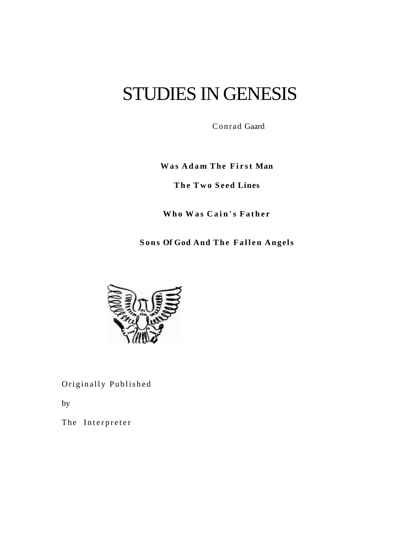# STUDIES IN GENESIS

Conrad Gaard

**Was** Adam The First Man

**T h e T w o S e e d Lines**

**Who Was Cain's Father** 

**Sons Of God And The Fallen Angels** 



Originally Published

by

The Interpreter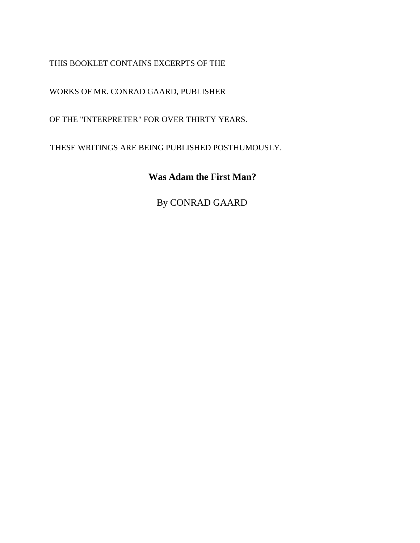THIS BOOKLET CONTAINS EXCERPTS OF THE

WORKS OF MR. CONRAD GAARD, PUBLISHER

OF THE "INTERPRETER" FOR OVER THIRTY YEARS.

THESE WRITINGS ARE BEING PUBLISHED POSTHUMOUSLY.

### **Was Adam the First Man?**

By CONRAD GAARD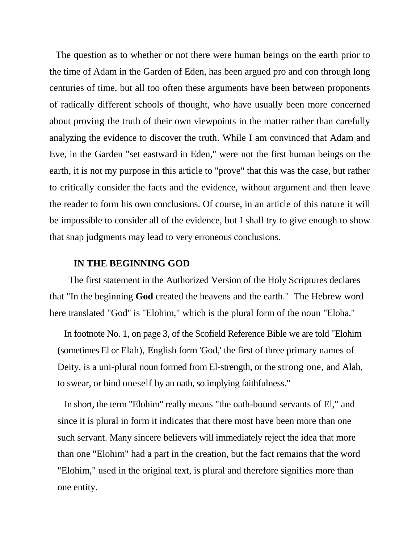The question as to whether or not there were human beings on the earth prior to the time of Adam in the Garden of Eden, has been argued pro and con through long centuries of time, but all too often these arguments have been between proponents of radically different schools of thought, who have usually been more concerned about proving the truth of their own viewpoints in the matter rather than carefully analyzing the evidence to discover the truth. While I am convinced that Adam and Eve, in the Garden "set eastward in Eden," were not the first human beings on the earth, it is not my purpose in this article to "prove" that this was the case, but rather to critically consider the facts and the evidence, without argument and then leave the reader to form his own conclusions. Of course, in an article of this nature it will be impossible to consider all of the evidence, but I shall try to give enough to show that snap judgments may lead to very erroneous conclusions.

### **IN THE BEGINNING GOD**

 The first statement in the Authorized Version of the Holy Scriptures declares that "In the beginning **God** created the heavens and the earth." The Hebrew word here translated "God" is "Elohim," which is the plural form of the noun "Eloha."

In footnote No. 1, on page 3, of the Scofield Reference Bible we are told "Elohim (sometimes El or Elah), English form 'God,' the first of three primary names of Deity, is a uni-plural noun formed from El-strength, or the strong one, and Alah, to swear, or bind oneself by an oath, so implying faithfulness."

In short, the term "Elohim" really means "the oath-bound servants of El," and since it is plural in form it indicates that there most have been more than one such servant. Many sincere believers will immediately reject the idea that more than one "Elohim" had a part in the creation, but the fact remains that the word "Elohim," used in the original text, is plural and therefore signifies more than one entity.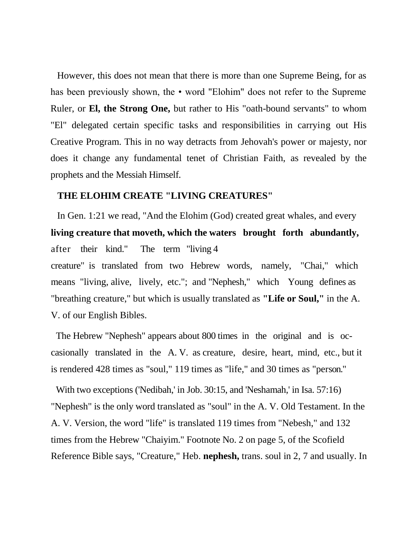However, this does not mean that there is more than one Supreme Being, for as has been previously shown, the • word "Elohim" does not refer to the Supreme Ruler, or **El, the Strong One,** but rather to His "oath-bound servants" to whom "El" delegated certain specific tasks and responsibilities in carrying out His Creative Program. This in no way detracts from Jehovah's power or majesty, nor does it change any fundamental tenet of Christian Faith, as revealed by the prophets and the Messiah Himself.

#### **THE ELOHIM CREATE "LIVING CREATURES"**

In Gen. 1:21 we read, "And the Elohim (God) created great whales, and every **living creature that moveth, which the waters brought forth abundantly,**  after their kind." The term "living 4 creature" is translated from two Hebrew words, namely, "Chai," which means "living, alive, lively, etc."; and "Nephesh," which Young defines as "breathing creature," but which is usually translated as **"Life or Soul,"** in the A. V. of our English Bibles.

The Hebrew "Nephesh" appears about 800 times in the original and is occasionally translated in the A. V. as creature, desire, heart, mind, etc., but it is rendered 428 times as "soul," 119 times as "life," and 30 times as "person."

With two exceptions ('Nedibah,' in Job. 30:15, and 'Neshamah,' in Isa. 57:16) "Nephesh" is the only word translated as "soul" in the A. V. Old Testament. In the A. V. Version, the word "life" is translated 119 times from "Nebesh," and 132 times from the Hebrew "Chaiyim." Footnote No. 2 on page 5, of the Scofield Reference Bible says, "Creature," Heb. **nephesh,** trans. soul in 2, 7 and usually. In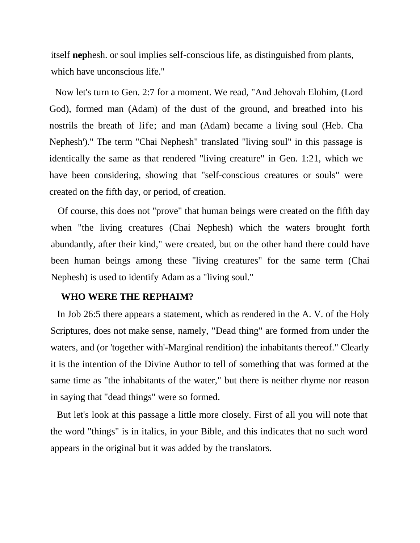itself **nep**hesh. or soul implies self-conscious life, as distinguished from plants, which have unconscious life."

Now let's turn to Gen. 2:7 for a moment. We read, "And Jehovah Elohim, (Lord God), formed man (Adam) of the dust of the ground, and breathed into his nostrils the breath of life; and man (Adam) became a living soul (Heb. Cha Nephesh')." The term "Chai Nephesh" translated "living soul" in this passage is identically the same as that rendered "living creature" in Gen. 1:21, which we have been considering, showing that "self-conscious creatures or souls" were created on the fifth day, or period, of creation.

Of course, this does not "prove" that human beings were created on the fifth day when "the living creatures (Chai Nephesh) which the waters brought forth abundantly, after their kind," were created, but on the other hand there could have been human beings among these "living creatures" for the same term (Chai Nephesh) is used to identify Adam as a "living soul."

### **WHO WERE THE REPHAIM?**

In Job 26:5 there appears a statement, which as rendered in the A. V. of the Holy Scriptures, does not make sense, namely, "Dead thing" are formed from under the waters, and (or 'together with'-Marginal rendition) the inhabitants thereof." Clearly it is the intention of the Divine Author to tell of something that was formed at the same time as "the inhabitants of the water," but there is neither rhyme nor reason in saying that "dead things" were so formed.

But let's look at this passage a little more closely. First of all you will note that the word "things" is in italics, in your Bible, and this indicates that no such word appears in the original but it was added by the translators.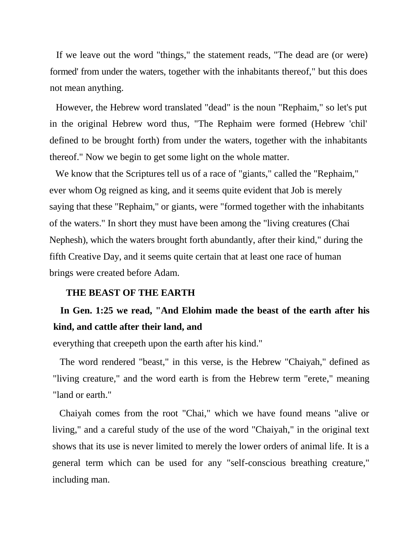If we leave out the word "things," the statement reads, "The dead are (or were) formed' from under the waters, together with the inhabitants thereof," but this does not mean anything.

However, the Hebrew word translated "dead" is the noun "Rephaim," so let's put in the original Hebrew word thus, "The Rephaim were formed (Hebrew 'chil' defined to be brought forth) from under the waters, together with the inhabitants thereof." Now we begin to get some light on the whole matter.

We know that the Scriptures tell us of a race of "giants," called the "Rephaim," ever whom Og reigned as king, and it seems quite evident that Job is merely saying that these "Rephaim," or giants, were "formed together with the inhabitants of the waters." In short they must have been among the "living creatures (Chai Nephesh), which the waters brought forth abundantly, after their kind," during the fifth Creative Day, and it seems quite certain that at least one race of human brings were created before Adam.

### **THE BEAST OF THE EARTH**

## **In Gen. 1:25 we read, "And Elohim made the beast of the earth after his kind, and cattle after their land, and**

everything that creepeth upon the earth after his kind."

The word rendered "beast," in this verse, is the Hebrew "Chaiyah," defined as "living creature," and the word earth is from the Hebrew term "erete," meaning "land or earth."

Chaiyah comes from the root "Chai," which we have found means "alive or living," and a careful study of the use of the word "Chaiyah," in the original text shows that its use is never limited to merely the lower orders of animal life. It is a general term which can be used for any "self-conscious breathing creature," including man.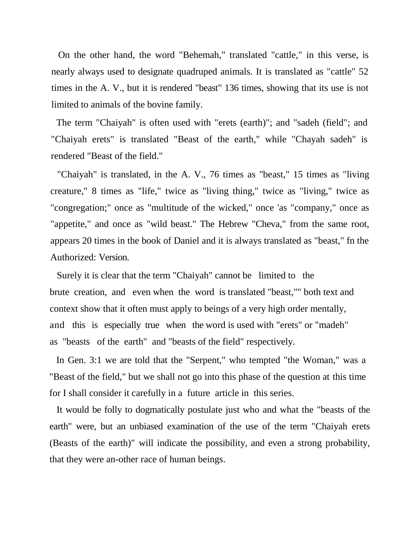On the other hand, the word "Behemah," translated "cattle," in this verse, is nearly always used to designate quadruped animals. It is translated as "cattle" 52 times in the A. V., but it is rendered "beast" 136 times, showing that its use is not limited to animals of the bovine family.

The term "Chaiyah" is often used with "erets (earth)"; and "sadeh (field"; and "Chaiyah erets" is translated "Beast of the earth," while "Chayah sadeh" is rendered "Beast of the field."

"Chaiyah" is translated, in the A. V., 76 times as "beast," 15 times as "living creature," 8 times as "life," twice as "living thing," twice as "living," twice as "congregation;" once as "multitude of the wicked," once 'as "company," once as "appetite," and once as "wild beast." The Hebrew "Cheva," from the same root, appears 20 times in the book of Daniel and it is always translated as "beast," fn the Authorized: Version.

Surely it is clear that the term "Chaiyah" cannot be limited to the brute creation, and even when the word is translated "beast,"" both text and context show that it often must apply to beings of a very high order mentally, and this is especially true when the word is used with "erets" or "madeh" as "beasts of the earth" and "beasts of the field" respectively.

In Gen. 3:1 we are told that the "Serpent," who tempted "the Woman," was a "Beast of the field," but we shall not go into this phase of the question at this time for I shall consider it carefully in a future article in this series.

It would be folly to dogmatically postulate just who and what the "beasts of the earth" were, but an unbiased examination of the use of the term "Chaiyah erets (Beasts of the earth)" will indicate the possibility, and even a strong probability, that they were an-other race of human beings.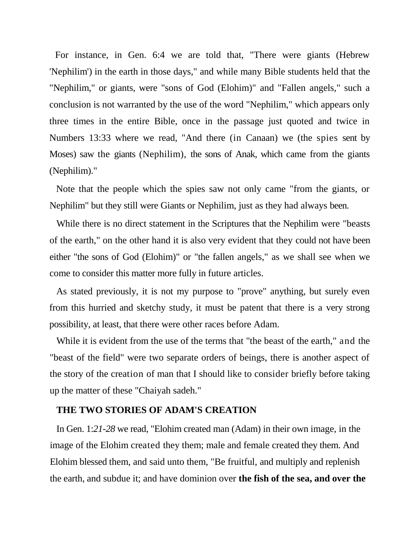For instance, in Gen. 6:4 we are told that, "There were giants (Hebrew 'Nephilim') in the earth in those days," and while many Bible students held that the "Nephilim," or giants, were "sons of God (Elohim)" and "Fallen angels," such a conclusion is not warranted by the use of the word "Nephilim," which appears only three times in the entire Bible, once in the passage just quoted and twice in Numbers 13:33 where we read, "And there (in Canaan) we (the spies sent by Moses) saw the giants (Nephilim), the sons of Anak, which came from the giants (Nephilim)."

Note that the people which the spies saw not only came "from the giants, or Nephilim" but they still were Giants or Nephilim, just as they had always been.

While there is no direct statement in the Scriptures that the Nephilim were "beasts of the earth," on the other hand it is also very evident that they could not have been either "the sons of God (Elohim)" or "the fallen angels," as we shall see when we come to consider this matter more fully in future articles.

As stated previously, it is not my purpose to "prove" anything, but surely even from this hurried and sketchy study, it must be patent that there is a very strong possibility, at least, that there were other races before Adam.

While it is evident from the use of the terms that "the beast of the earth," and the "beast of the field" were two separate orders of beings, there is another aspect of the story of the creation of man that I should like to consider briefly before taking up the matter of these "Chaiyah sadeh."

### **THE TWO STORIES OF ADAM'S CREATION**

In Gen. 1:*21-28* we read, "Elohim created man (Adam) in their own image, in the image of the Elohim created they them; male and female created they them. And Elohim blessed them, and said unto them, "Be fruitful, and multiply and replenish the earth, and subdue it; and have dominion over **the fish of the sea, and over the**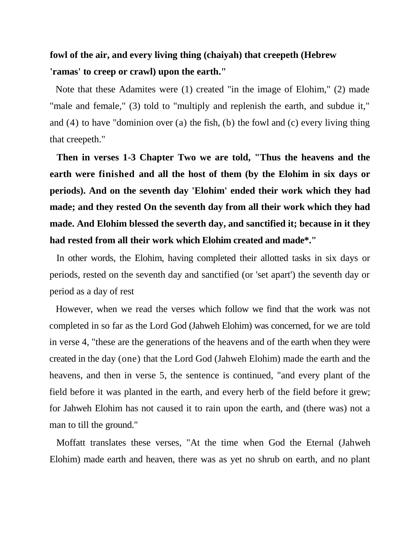### **fowl of the air, and every living thing (chaiyah) that creepeth (Hebrew 'ramas' to creep or crawl) upon the earth."**

Note that these Adamites were (1) created "in the image of Elohim," (2) made "male and female," (3) told to "multiply and replenish the earth, and subdue it," and (4) to have "dominion over (a) the fish, (b) the fowl and (c) every living thing that creepeth."

**Then in verses 1-3 Chapter Two we are told, "Thus the heavens and the earth were finished and all the host of them (by the Elohim in six days or periods). And on the seventh day 'Elohim' ended their work which they had made; and they rested On the seventh day from all their work which they had made. And Elohim blessed the severth day, and sanctified it; because in it they had rested from all their work which Elohim created and made\*."**

In other words, the Elohim, having completed their allotted tasks in six days or periods, rested on the seventh day and sanctified (or 'set apart') the seventh day or period as a day of rest

However, when we read the verses which follow we find that the work was not completed in so far as the Lord God (Jahweh Elohim) was concerned, for we are told in verse 4, "these are the generations of the heavens and of the earth when they were created in the day (one) that the Lord God (Jahweh Elohim) made the earth and the heavens, and then in verse 5, the sentence is continued, "and every plant of the field before it was planted in the earth, and every herb of the field before it grew; for Jahweh Elohim has not caused it to rain upon the earth, and (there was) not a man to till the ground."

Moffatt translates these verses, "At the time when God the Eternal (Jahweh Elohim) made earth and heaven, there was as yet no shrub on earth, and no plant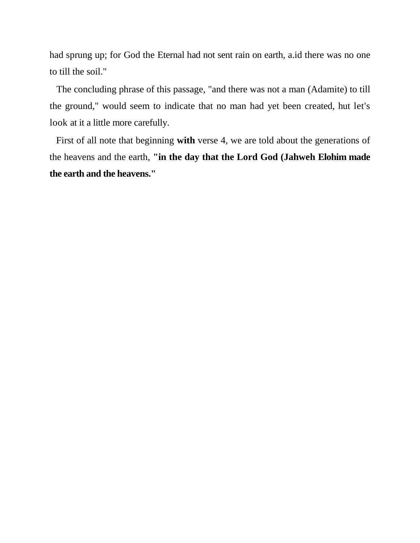had sprung up; for God the Eternal had not sent rain on earth, a.id there was no one to till the soil."

The concluding phrase of this passage, "and there was not a man (Adamite) to till the ground," would seem to indicate that no man had yet been created, hut let's look at it a little more carefully.

First of all note that beginning **with** verse 4, we are told about the generations of the heavens and the earth, **"in the day that the Lord God (Jahweh Elohim made the earth and the heavens."**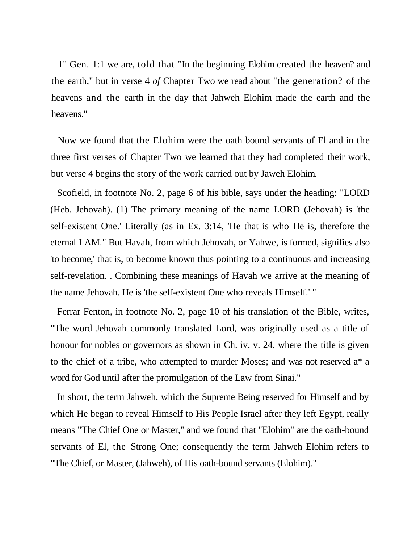1" Gen. 1:1 we are, told that "In the beginning Elohim created the heaven? and the earth," but in verse 4 *of* Chapter Two we read about "the generation? of the heavens and the earth in the day that Jahweh Elohim made the earth and the heavens."

Now we found that the Elohim were the oath bound servants of El and in the three first verses of Chapter Two we learned that they had completed their work, but verse 4 begins the story of the work carried out by Jaweh Elohim.

Scofield, in footnote No. 2, page 6 of his bible, says under the heading: "LORD (Heb. Jehovah). (1) The primary meaning of the name LORD (Jehovah) is 'the self-existent One.' Literally (as in Ex. 3:14, 'He that is who He is, therefore the eternal I AM." But Havah, from which Jehovah, or Yahwe, is formed, signifies also 'to become,' that is, to become known thus pointing to a continuous and increasing self-revelation. . Combining these meanings of Havah we arrive at the meaning of the name Jehovah. He is 'the self-existent One who reveals Himself.' "

Ferrar Fenton, in footnote No. 2, page 10 of his translation of the Bible, writes, "The word Jehovah commonly translated Lord, was originally used as a title of honour for nobles or governors as shown in Ch. iv, v. 24, where the title is given to the chief of a tribe, who attempted to murder Moses; and was not reserved a\* a word for God until after the promulgation of the Law from Sinai."

In short, the term Jahweh, which the Supreme Being reserved for Himself and by which He began to reveal Himself to His People Israel after they left Egypt, really means "The Chief One or Master,'' and we found that "Elohim" are the oath-bound servants of El, the Strong One; consequently the term Jahweh Elohim refers to "The Chief, or Master, (Jahweh), of His oath-bound servants (Elohim)."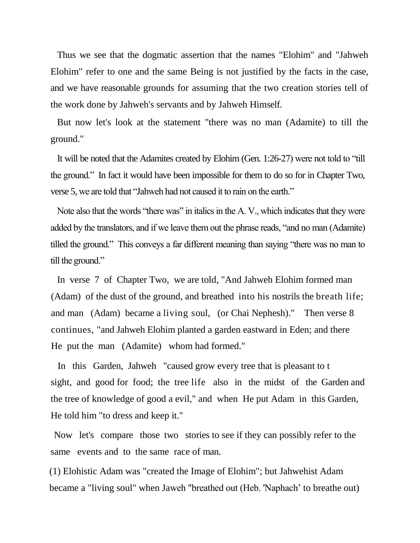Thus we see that the dogmatic assertion that the names "Elohim" and "Jahweh Elohim" refer to one and the same Being is not justified by the facts in the case, and we have reasonable grounds for assuming that the two creation stories tell of the work done by Jahweh's servants and by Jahweh Himself.

But now let's look at the statement "there was no man (Adamite) to till the ground."

It will be noted that the Adamites created by Elohim (Gen. 1:26-27) were not told to "till the ground." In fact it would have been impossible for them to do so for in Chapter Two, verse 5, we are told that "Jahweh had not caused it to rain on the earth."

Note also that the words "there was" in italics in the A. V., which indicates that they were added by the translators, and if we leave them out the phrase reads, "and no man (Adamite) tilled the ground." This conveys a far different meaning than saying "there was no man to till the ground."

In verse 7 of Chapter Two, we are told, "And Jahweh Elohim formed man (Adam) of the dust of the ground, and breathed into his nostrils the breath life; and man (Adam) became a living soul, (or Chai Nephesh)." Then verse 8 continues, "and Jahweh Elohim planted a garden eastward in Eden; and there He put the man (Adamite) whom had formed."

In this Garden, Jahweh "caused grow every tree that is pleasant to t sight, and good for food; the tree life also in the midst of the Garden and the tree of knowledge of good a evil," and when He put Adam in this Garden, He told him "to dress and keep it."

Now let's compare those two stories to see if they can possibly refer to the same events and to the same race of man.

(1) Elohistic Adam was "created the Image of Elohim"; but Jahwehist Adam became a "living soul" when Jaweh "breathed out (Heb. 'Naphach' to breathe out)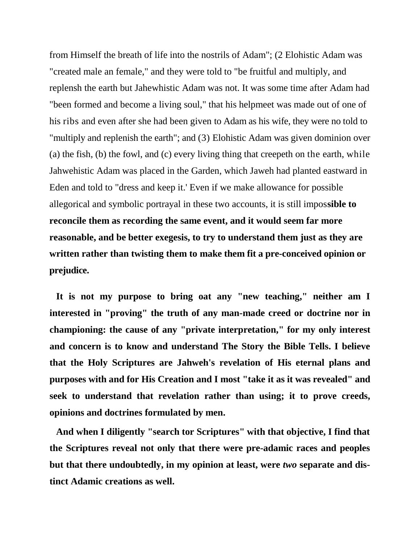from Himself the breath of life into the nostrils of Adam"; (2 Elohistic Adam was "created male an female," and they were told to "be fruitful and multiply, and replensh the earth but Jahewhistic Adam was not. It was some time after Adam had "been formed and become a living soul," that his helpmeet was made out of one of his ribs and even after she had been given to Adam as his wife, they were no told to "multiply and replenish the earth"; and (3) Elohistic Adam was given dominion over (a) the fish, (b) the fowl, and (c) every living thing that creepeth on the earth, while Jahwehistic Adam was placed in the Garden, which Jaweh had planted eastward in Eden and told to "dress and keep it.' Even if we make allowance for possible allegorical and symbolic portrayal in these two accounts, it is still impos**sible to reconcile them as recording the same event, and it would seem far more reasonable, and be better exegesis, to try to understand them just as they are written rather than twisting them to make them fit a pre-conceived opinion or prejudice.**

**It is not my purpose to bring oat any "new teaching," neither am I interested in "proving" the truth of any man-made creed or doctrine nor in championing: the cause of any "private interpretation," for my only interest and concern is to know and understand The Story the Bible Tells. I believe that the Holy Scriptures are Jahweh's revelation of His eternal plans and purposes with and for His Creation and I most "take it as it was revealed" and seek to understand that revelation rather than using; it to prove creeds, opinions and doctrines formulated by men.**

**And when I diligently "search tor Scriptures" with that objective, I find that the Scriptures reveal not only that there were pre-adamic races and peoples but that there undoubtedly, in my opinion at least, were** *two* **separate and distinct Adamic creations as well.**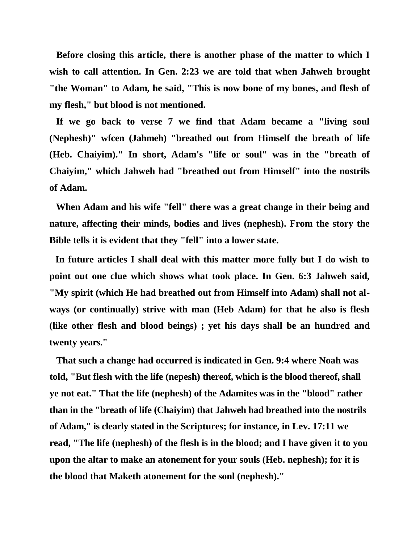**Before closing this article, there is another phase of the matter to which I wish to call attention. In Gen. 2:23 we are told that when Jahweh brought "the Woman" to Adam, he said, "This is now bone of my bones, and flesh of my flesh," but blood is not mentioned.**

**If we go back to verse 7 we find that Adam became a "living soul (Nephesh)" wfcen (Jahmeh) "breathed out from Himself the breath of life (Heb. Chaiyim)." In short, Adam's "life or soul" was in the "breath of Chaiyim," which Jahweh had "breathed out from Himself" into the nostrils of Adam.**

**When Adam and his wife "fell" there was a great change in their being and nature, affecting their minds, bodies and lives (nephesh). From the story the Bible tells it is evident that they "fell" into a lower state.**

**In future articles I shall deal with this matter more fully but I do wish to point out one clue which shows what took place. In Gen. 6:3 Jahweh said, "My spirit (which He had breathed out from Himself into Adam) shall not always (or continually) strive with man (Heb Adam) for that he also is flesh (like other flesh and blood beings) ; yet his days shall be an hundred and twenty years."**

**That such a change had occurred is indicated in Gen. 9:4 where Noah was told, "But flesh with the life (nepesh) thereof, which is the blood thereof, shall ye not eat." That the life (nephesh) of the Adamites was in the "blood" rather than in the "breath of life (Chaiyim) that Jahweh had breathed into the nostrils of Adam," is clearly stated in the Scriptures; for instance, in Lev. 17:11 we read, "The life (nephesh) of the flesh is in the blood; and I have given it to you upon the altar to make an atonement for your souls (Heb. nephesh); for it is the blood that Maketh atonement for the sonl (nephesh)."**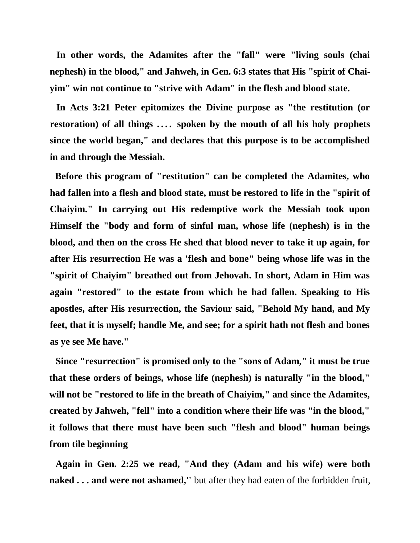**In other words, the Adamites after the "fall" were "living souls (chai nephesh) in the blood," and Jahweh, in Gen. 6:3 states that His "spirit of Chaiyim" win not continue to "strive with Adam" in the flesh and blood state.**

**In Acts 3:21 Peter epitomizes the Divine purpose as "the restitution (or restoration) of all things .... spoken by the mouth of all his holy prophets since the world began," and declares that this purpose is to be accomplished in and through the Messiah.**

**Before this program of "restitution" can be completed the Adamites, who had fallen into a flesh and blood state, must be restored to life in the "spirit of Chaiyim." In carrying out His redemptive work the Messiah took upon Himself the "body and form of sinful man, whose life (nephesh) is in the blood, and then on the cross He shed that blood never to take it up again, for after His resurrection He was a 'flesh and bone" being whose life was in the "spirit of Chaiyim" breathed out from Jehovah. In short, Adam in Him was again "restored" to the estate from which he had fallen. Speaking to His apostles, after His resurrection, the Saviour said, "Behold My hand, and My feet, that it is myself; handle Me, and see; for a spirit hath not flesh and bones as ye see Me have."**

**Since "resurrection" is promised only to the "sons of Adam," it must be true that these orders of beings, whose life (nephesh) is naturally "in the blood," will not be "restored to life in the breath of Chaiyim," and since the Adamites, created by Jahweh, "fell" into a condition where their life was "in the blood," it follows that there must have been such "flesh and blood" human beings from tile beginning**

**Again in Gen. 2:25 we read, "And they (Adam and his wife) were both naked . . . and were not ashamed,''** but after they had eaten of the forbidden fruit,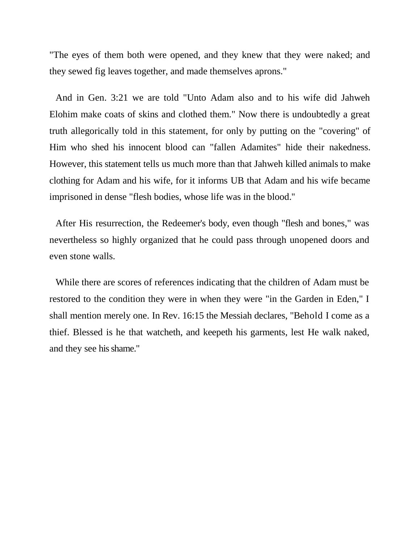"The eyes of them both were opened, and they knew that they were naked; and they sewed fig leaves together, and made themselves aprons."

And in Gen. 3:21 we are told "Unto Adam also and to his wife did Jahweh Elohim make coats of skins and clothed them." Now there is undoubtedly a great truth allegorically told in this statement, for only by putting on the "covering" of Him who shed his innocent blood can "fallen Adamites" hide their nakedness. However, this statement tells us much more than that Jahweh killed animals to make clothing for Adam and his wife, for it informs UB that Adam and his wife became imprisoned in dense "flesh bodies, whose life was in the blood.''

After His resurrection, the Redeemer's body, even though "flesh and bones," was nevertheless so highly organized that he could pass through unopened doors and even stone walls.

While there are scores of references indicating that the children of Adam must be restored to the condition they were in when they were "in the Garden in Eden," I shall mention merely one. In Rev. 16:15 the Messiah declares, "Behold I come as a thief. Blessed is he that watcheth, and keepeth his garments, lest He walk naked, and they see his shame."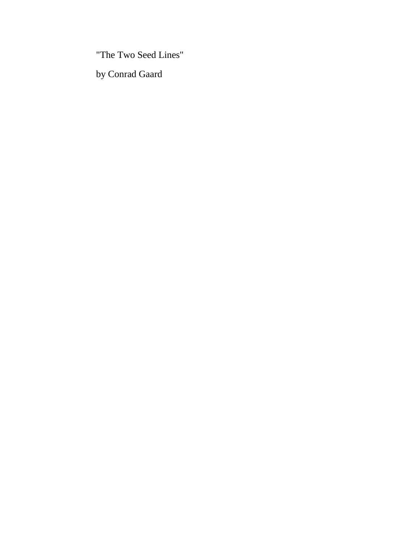"The Two Seed Lines"

by Conrad Gaard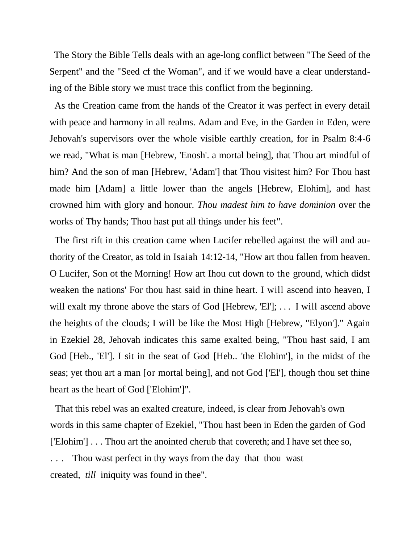The Story the Bible Tells deals with an age-long conflict between "The Seed of the Serpent" and the "Seed cf the Woman", and if we would have a clear understanding of the Bible story we must trace this conflict from the beginning.

As the Creation came from the hands of the Creator it was perfect in every detail with peace and harmony in all realms. Adam and Eve, in the Garden in Eden, were Jehovah's supervisors over the whole visible earthly creation, for in Psalm 8:4-6 we read, "What is man [Hebrew, 'Enosh'. a mortal being], that Thou art mindful of him? And the son of man [Hebrew, 'Adam'] that Thou visitest him? For Thou hast made him [Adam] a little lower than the angels [Hebrew, Elohim], and hast crowned him with glory and honour. *Thou madest him to have dominion* over the works of Thy hands; Thou hast put all things under his feet".

The first rift in this creation came when Lucifer rebelled against the will and authority of the Creator, as told in Isaiah 14:12-14, "How art thou fallen from heaven. O Lucifer, Son ot the Morning! How art Ihou cut down to the ground, which didst weaken the nations' For thou hast said in thine heart. I will ascend into heaven, I will exalt my throne above the stars of God [Hebrew, 'El']; ... I will ascend above the heights of the clouds; I will be like the Most High [Hebrew, "Elyon']." Again in Ezekiel 28, Jehovah indicates this same exalted being, "Thou hast said, I am God [Heb., 'El']. I sit in the seat of God [Heb.. 'the Elohim'], in the midst of the seas; yet thou art a man [or mortal being], and not God ['El'], though thou set thine heart as the heart of God ['Elohim']".

That this rebel was an exalted creature, indeed, is clear from Jehovah's own words in this same chapter of Ezekiel, "Thou hast been in Eden the garden of God ['Elohim'] . . . Thou art the anointed cherub that covereth; and I have set thee so, Thou wast perfect in thy ways from the day that thou wast created, *till* iniquity was found in thee".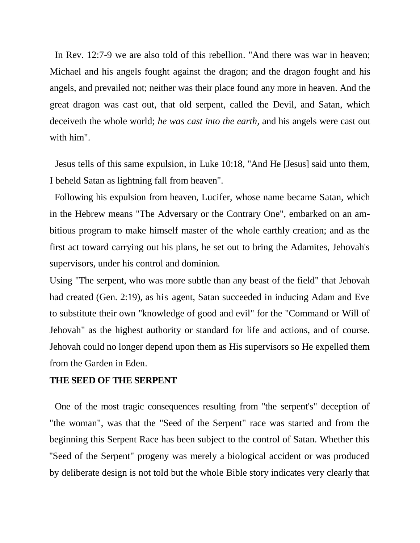In Rev. 12:7-9 we are also told of this rebellion. "And there was war in heaven; Michael and his angels fought against the dragon; and the dragon fought and his angels, and prevailed not; neither was their place found any more in heaven. And the great dragon was cast out, that old serpent, called the Devil, and Satan, which deceiveth the whole world; *he was cast into the earth,* and his angels were cast out with him".

Jesus tells of this same expulsion, in Luke 10:18, "And He [Jesus] said unto them, I beheld Satan as lightning fall from heaven".

Following his expulsion from heaven, Lucifer, whose name became Satan, which in the Hebrew means "The Adversary or the Contrary One", embarked on an ambitious program to make himself master of the whole earthly creation; and as the first act toward carrying out his plans, he set out to bring the Adamites, Jehovah's supervisors, under his control and dominion.

Using "The serpent, who was more subtle than any beast of the field" that Jehovah had created (Gen. 2:19), as his agent, Satan succeeded in inducing Adam and Eve to substitute their own "knowledge of good and evil" for the "Command or Will of Jehovah" as the highest authority or standard for life and actions, and of course. Jehovah could no longer depend upon them as His supervisors so He expelled them from the Garden in Eden.

### **THE SEED OF THE SERPENT**

One of the most tragic consequences resulting from ''the serpent's" deception of "the woman", was that the "Seed of the Serpent" race was started and from the beginning this Serpent Race has been subject to the control of Satan. Whether this ''Seed of the Serpent" progeny was merely a biological accident or was produced by deliberate design is not told but the whole Bible story indicates very clearly that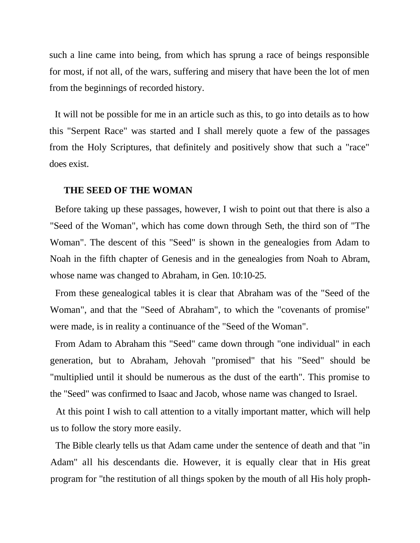such a line came into being, from which has sprung a race of beings responsible for most, if not all, of the wars, suffering and misery that have been the lot of men from the beginnings of recorded history.

It will not be possible for me in an article such as this, to go into details as to how this "Serpent Race" was started and I shall merely quote a few of the passages from the Holy Scriptures, that definitely and positively show that such a "race" does exist.

### **THE SEED OF THE WOMAN**

Before taking up these passages, however, I wish to point out that there is also a "Seed of the Woman", which has come down through Seth, the third son of "The Woman". The descent of this "Seed" is shown in the genealogies from Adam to Noah in the fifth chapter of Genesis and in the genealogies from Noah to Abram, whose name was changed to Abraham, in Gen. 10:10-25.

From these genealogical tables it is clear that Abraham was of the "Seed of the Woman", and that the "Seed of Abraham", to which the "covenants of promise" were made, is in reality a continuance of the "Seed of the Woman".

From Adam to Abraham this "Seed" came down through "one individual" in each generation, but to Abraham, Jehovah "promised" that his "Seed" should be "multiplied until it should be numerous as the dust of the earth". This promise to the "Seed" was confirmed to Isaac and Jacob, whose name was changed to Israel.

At this point I wish to call attention to a vitally important matter, which will help us to follow the story more easily.

The Bible clearly tells us that Adam came under the sentence of death and that "in Adam" all his descendants die. However, it is equally clear that in His great program for "the restitution of all things spoken by the mouth of all His holy proph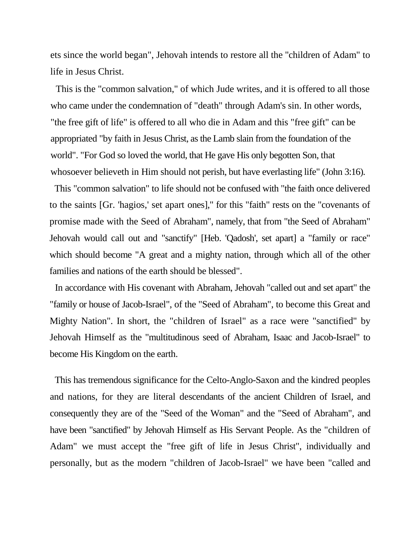ets since the world began", Jehovah intends to restore all the ''children of Adam" to life in Jesus Christ.

This is the "common salvation," of which Jude writes, and it is offered to all those who came under the condemnation of "death" through Adam's sin. In other words, "the free gift of life" is offered to all who die in Adam and this "free gift" can be appropriated "by faith in Jesus Christ, as the Lamb slain from the foundation of the world". "For God so loved the world, that He gave His only begotten Son, that whosoever believeth in Him should not perish, but have everlasting life" (John 3:16).

This "common salvation" to life should not be confused with "the faith once delivered to the saints [Gr. 'hagios,' set apart ones]," for this "faith" rests on the "covenants of promise made with the Seed of Abraham", namely, that from "the Seed of Abraham" Jehovah would call out and "sanctify" [Heb. 'Qadosh', set apart] a "family or race" which should become "A great and a mighty nation, through which all of the other families and nations of the earth should be blessed".

In accordance with His covenant with Abraham, Jehovah "called out and set apart" the "family or house of Jacob-Israel", of the "Seed of Abraham", to become this Great and Mighty Nation". In short, the "children of Israel" as a race were "sanctified" by Jehovah Himself as the "multitudinous seed of Abraham, Isaac and Jacob-Israel" to become His Kingdom on the earth.

This has tremendous significance for the Celto-Anglo-Saxon and the kindred peoples and nations, for they are literal descendants of the ancient Children of Israel, and consequently they are of the "Seed of the Woman" and the "Seed of Abraham", and have been "sanctified" by Jehovah Himself as His Servant People. As the "children of Adam" we must accept the "free gift of life in Jesus Christ", individually and personally, but as the modern "children of Jacob-Israel" we have been "called and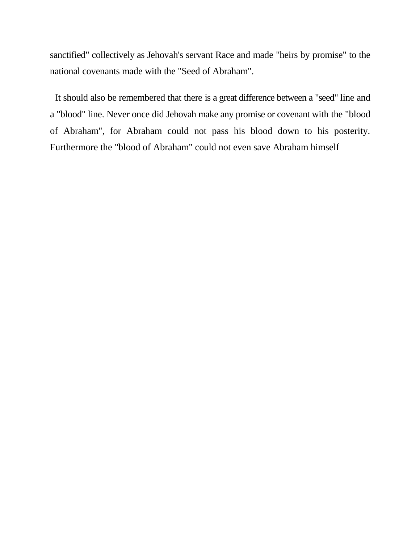sanctified" collectively as Jehovah's servant Race and made "heirs by promise" to the national covenants made with the "Seed of Abraham".

It should also be remembered that there is a great difference between a "seed" line and a "blood" line. Never once did Jehovah make any promise or covenant with the "blood of Abraham", for Abraham could not pass his blood down to his posterity. Furthermore the "blood of Abraham" could not even save Abraham himself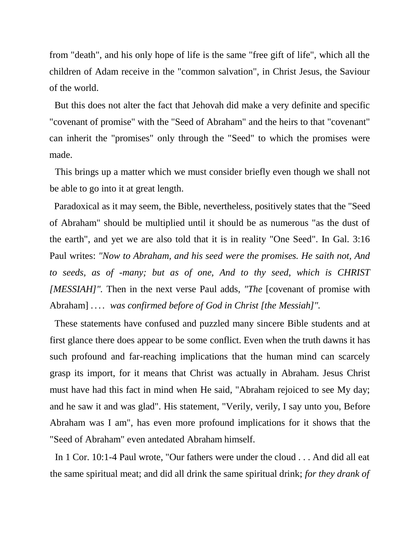from "death", and his only hope of life is the same "free gift of life", which all the children of Adam receive in the "common salvation", in Christ Jesus, the Saviour of the world.

But this does not alter the fact that Jehovah did make a very definite and specific "covenant of promise" with the "Seed of Abraham" and the heirs to that "covenant" can inherit the "promises" only through the "Seed" to which the promises were made.

This brings up a matter which we must consider briefly even though we shall not be able to go into it at great length.

Paradoxical as it may seem, the Bible, nevertheless, positively states that the "Seed of Abraham" should be multiplied until it should be as numerous "as the dust of the earth", and yet we are also told that it is in reality "One Seed". In Gal. 3:16 Paul writes: *"Now to Abraham, and his seed were the promises. He saith not, And to seeds, as of -many; but as of one, And to thy seed, which is CHRIST [MESSIAH]".* Then in the next verse Paul adds, *"The* [covenant of promise with Abraham] .... was confirmed before of God in Christ [the Messiah]".

These statements have confused and puzzled many sincere Bible students and at first glance there does appear to be some conflict. Even when the truth dawns it has such profound and far-reaching implications that the human mind can scarcely grasp its import, for it means that Christ was actually in Abraham. Jesus Christ must have had this fact in mind when He said, "Abraham rejoiced to see My day; and he saw it and was glad". His statement, "Verily, verily, I say unto you, Before Abraham was I am", has even more profound implications for it shows that the "Seed of Abraham" even antedated Abraham himself.

In 1 Cor. 10:1-4 Paul wrote, "Our fathers were under the cloud . . . And did all eat the same spiritual meat; and did all drink the same spiritual drink; *for they drank of*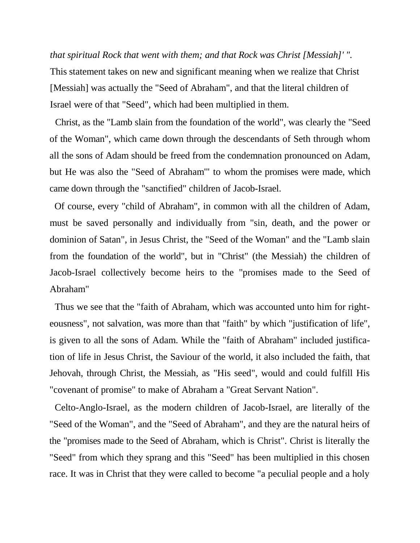*that spiritual Rock that went with them; and that Rock was Christ [Messiah]' ".*  This statement takes on new and significant meaning when we realize that Christ [Messiah] was actually the "Seed of Abraham", and that the literal children of Israel were of that "Seed", which had been multiplied in them.

Christ, as the "Lamb slain from the foundation of the world", was clearly the "Seed of the Woman", which came down through the descendants of Seth through whom all the sons of Adam should be freed from the condemnation pronounced on Adam, but He was also the "Seed of Abraham'" to whom the promises were made, which came down through the "sanctified" children of Jacob-Israel.

Of course, every "child of Abraham", in common with all the children of Adam, must be saved personally and individually from "sin, death, and the power or dominion of Satan", in Jesus Christ, the "Seed of the Woman" and the "Lamb slain from the foundation of the world", but in "Christ" (the Messiah) the children of Jacob-Israel collectively become heirs to the "promises made to the Seed of Abraham"

Thus we see that the "faith of Abraham, which was accounted unto him for righteousness", not salvation, was more than that "faith" by which "justification of life", is given to all the sons of Adam. While the "faith of Abraham" included justification of life in Jesus Christ, the Saviour of the world, it also included the faith, that Jehovah, through Christ, the Messiah, as "His seed", would and could fulfill His "covenant of promise" to make of Abraham a "Great Servant Nation".

Celto-Anglo-Israel, as the modern children of Jacob-Israel, are literally of the "Seed of the Woman", and the "Seed of Abraham", and they are the natural heirs of the "promises made to the Seed of Abraham, which is Christ". Christ is literally the "Seed" from which they sprang and this "Seed" has been multiplied in this chosen race. It was in Christ that they were called to become "a peculial people and a holy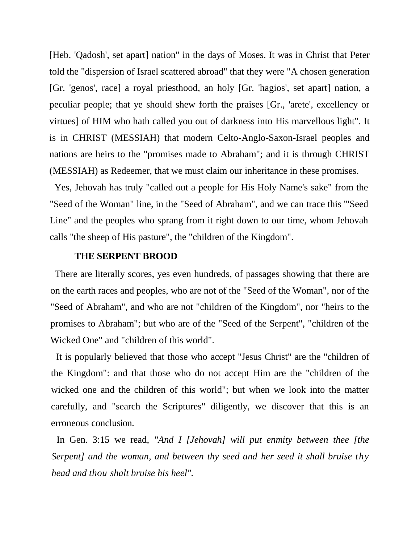[Heb. 'Qadosh', set apart] nation" in the days of Moses. It was in Christ that Peter told the "dispersion of Israel scattered abroad" that they were "A chosen generation [Gr. 'genos', race] a royal priesthood, an holy [Gr. 'hagios', set apart] nation, a peculiar people; that ye should shew forth the praises [Gr., 'arete', excellency or virtues] of HIM who hath called you out of darkness into His marvellous light". It is in CHRIST (MESSIAH) that modern Celto-Anglo-Saxon-Israel peoples and nations are heirs to the "promises made to Abraham"; and it is through CHRIST (MESSIAH) as Redeemer, that we must claim our inheritance in these promises.

Yes, Jehovah has truly "called out a people for His Holy Name's sake" from the "Seed of the Woman" line, in the "Seed of Abraham", and we can trace this '"Seed Line" and the peoples who sprang from it right down to our time, whom Jehovah calls "the sheep of His pasture", the "children of the Kingdom".

### **THE SERPENT BROOD**

There are literally scores, yes even hundreds, of passages showing that there are on the earth races and peoples, who are not of the "Seed of the Woman", nor of the "Seed of Abraham", and who are not "children of the Kingdom", nor "heirs to the promises to Abraham"; but who are of the "Seed of the Serpent", "children of the Wicked One" and "children of this world".

It is popularly believed that those who accept "Jesus Christ" are the "children of the Kingdom": and that those who do not accept Him are the "children of the wicked one and the children of this world"; but when we look into the matter carefully, and "search the Scriptures" diligently, we discover that this is an erroneous conclusion.

In Gen. 3:15 we read, *''And I [Jehovah] will put enmity between thee [the Serpent] and the woman, and between thy seed and her seed it shall bruise thy head and thou shalt bruise his heel".*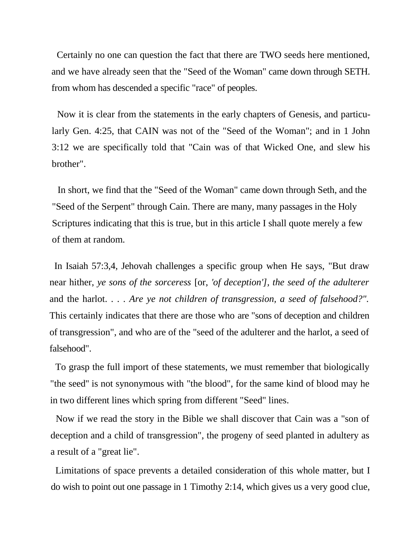Certainly no one can question the fact that there are TWO seeds here mentioned, and we have already seen that the "Seed of the Woman" came down through SETH. from whom has descended a specific "race" of peoples.

Now it is clear from the statements in the early chapters of Genesis, and particularly Gen. 4:25, that CAIN was not of the "Seed of the Woman"; and in 1 John 3:12 we are specifically told that "Cain was of that Wicked One, and slew his brother".

In short, we find that the "Seed of the Woman" came down through Seth, and the "Seed of the Serpent" through Cain. There are many, many passages in the Holy Scriptures indicating that this is true, but in this article I shall quote merely a few of them at random.

In Isaiah 57:3,4, Jehovah challenges a specific group when He says, "But draw near hither, *ye sons of the sorceress* [or, *'of deception'], the seed of the adulterer*  and the harlot. . . . *Are ye not children of transgression, a seed of falsehood?".*  This certainly indicates that there are those who are "sons of deception and children of transgression", and who are of the "seed of the adulterer and the harlot, a seed of falsehood".

To grasp the full import of these statements, we must remember that biologically "the seed'' is not synonymous with "the blood", for the same kind of blood may he in two different lines which spring from different "Seed" lines.

Now if we read the story in the Bible we shall discover that Cain was a "son of deception and a child of transgression", the progeny of seed planted in adultery as a result of a "great lie".

Limitations of space prevents a detailed consideration of this whole matter, but I do wish to point out one passage in 1 Timothy 2:14, which gives us a very good clue,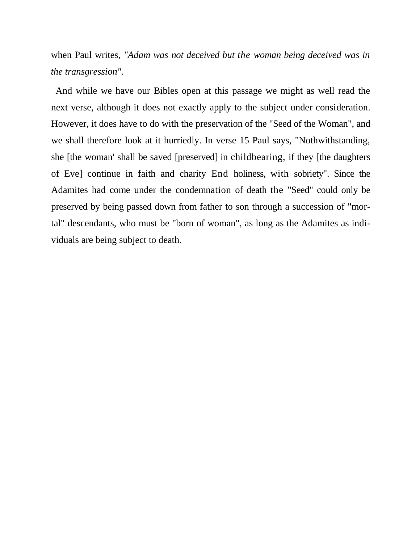when Paul writes, *"Adam was not deceived but the woman being deceived was in the transgression".*

And while we have our Bibles open at this passage we might as well read the next verse, although it does not exactly apply to the subject under consideration. However, it does have to do with the preservation of the "Seed of the Woman", and we shall therefore look at it hurriedly. In verse 15 Paul says, "Nothwithstanding, she [the woman' shall be saved [preserved] in childbearing, if they [the daughters of Eve] continue in faith and charity End holiness, with sobriety". Since the Adamites had come under the condemnation of death the "Seed" could only be preserved by being passed down from father to son through a succession of "mortal" descendants, who must be "born of woman", as long as the Adamites as individuals are being subject to death.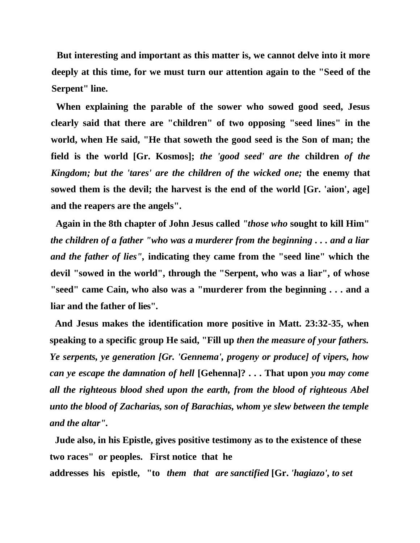**But interesting and important as this matter is, we cannot delve into it more deeply at this time, for we must turn our attention again to the "Seed of the Serpent" line.**

**When explaining the parable of the sower who sowed good seed, Jesus clearly said that there are "children" of two opposing "seed lines" in the world, when He said, "He that soweth the good seed is the Son of man; the field is the world [Gr. Kosmos];** *the 'good seed' are the* **children** *of the Kingdom; but the 'tares' are the children of the wicked one;* **the enemy that sowed them is the devil; the harvest is the end of the world [Gr. 'aion', age] and the reapers are the angels".**

**Again in the 8th chapter of John Jesus called** *"those who* **sought to kill Him"**  *the children of a father "who was a murderer from the beginning . . . and a liar and the father of lies",* **indicating they came from the "seed line" which the devil "sowed in the world", through the "Serpent, who was a liar", of whose "seed" came Cain, who also was a "murderer from the beginning . . . and a liar and the father of lies".**

**And Jesus makes the identification more positive in Matt. 23:32-35, when speaking to a specific group He said, "Fill up** *then the measure of your fathers. Ye serpents, ye generation [Gr. 'Gennema', progeny or produce] of vipers, how can ye escape the damnation of hell* **[Gehenna]? . . . That upon** *you may come all the righteous blood shed upon the earth, from the blood of righteous Abel unto the blood of Zacharias, son of Barachias, whom ye slew between the temple and the altar".*

**Jude also, in his Epistle, gives positive testimony as to the existence of these two races" or peoples. First notice that he** 

**addresses his epistle, "to** *them that are sanctified* **[Gr.** *'hagiazo', to set*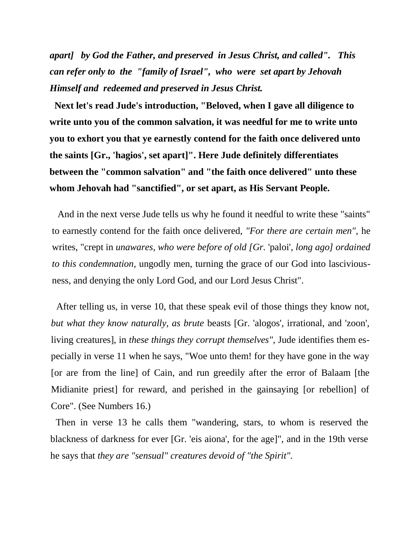*apart] by God the Father, and preserved in Jesus Christ, and called". This can refer only to the "family of Israel", who were set apart by Jehovah Himself and redeemed and preserved in Jesus Christ.*

**Next let's read Jude's introduction, "Beloved, when I gave all diligence to write unto you of the common salvation, it was needful for me to write unto you to exhort you that ye earnestly contend for the faith once delivered unto the saints [Gr., 'hagios', set apart]". Here Jude definitely differentiates between the "common salvation" and "the faith once delivered" unto these whom Jehovah had "sanctified", or set apart, as His Servant People.**

And in the next verse Jude tells us why he found it needful to write these "saints" to earnestly contend for the faith once delivered, *"For there are certain men",* he writes, "crept in *unawares, who were before of old [Gr.* 'paloi', *long ago] ordained to this condemnation,* ungodly men, turning the grace of our God into lasciviousness, and denying the only Lord God, and our Lord Jesus Christ".

After telling us, in verse 10, that these speak evil of those things they know not, *but what they know naturally, as brute* beasts [Gr. 'alogos', irrational, and 'zoon', living creatures], in *these things they corrupt themselves",* Jude identifies them especially in verse 11 when he says, "Woe unto them! for they have gone in the way [or are from the line] of Cain, and run greedily after the error of Balaam [the Midianite priest] for reward, and perished in the gainsaying [or rebellion] of Core". (See Numbers 16.)

Then in verse 13 he calls them "wandering, stars, to whom is reserved the blackness of darkness for ever [Gr. 'eis aiona', for the age]", and in the 19th verse he says that *they are "sensual" creatures devoid of "the Spirit".*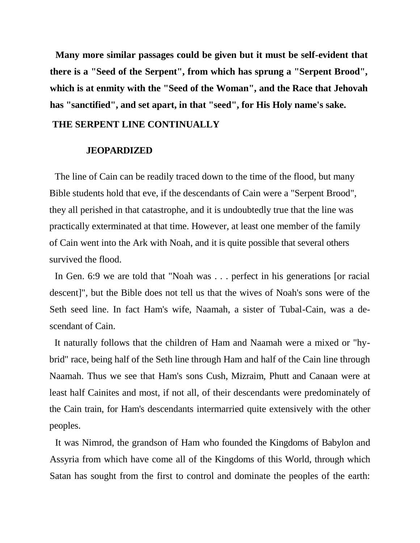**Many more similar passages could be given but it must be self-evident that there is a "Seed of the Serpent", from which has sprung a "Serpent Brood", which is at enmity with the "Seed of the Woman", and the Race that Jehovah has "sanctified", and set apart, in that "seed", for His Holy name's sake.**

### **THE SERPENT LINE CONTINUALLY**

### **JEOPARDIZED**

The line of Cain can be readily traced down to the time of the flood, but many Bible students hold that eve, if the descendants of Cain were a "Serpent Brood", they all perished in that catastrophe, and it is undoubtedly true that the line was practically exterminated at that time. However, at least one member of the family of Cain went into the Ark with Noah, and it is quite possible that several others survived the flood.

In Gen. 6:9 we are told that "Noah was . . . perfect in his generations [or racial descent]", but the Bible does not tell us that the wives of Noah's sons were of the Seth seed line. In fact Ham's wife, Naamah, a sister of Tubal-Cain, was a descendant of Cain.

It naturally follows that the children of Ham and Naamah were a mixed or "hybrid" race, being half of the Seth line through Ham and half of the Cain line through Naamah. Thus we see that Ham's sons Cush, Mizraim, Phutt and Canaan were at least half Cainites and most, if not all, of their descendants were predominately of the Cain train, for Ham's descendants intermarried quite extensively with the other peoples.

It was Nimrod, the grandson of Ham who founded the Kingdoms of Babylon and Assyria from which have come all of the Kingdoms of this World, through which Satan has sought from the first to control and dominate the peoples of the earth: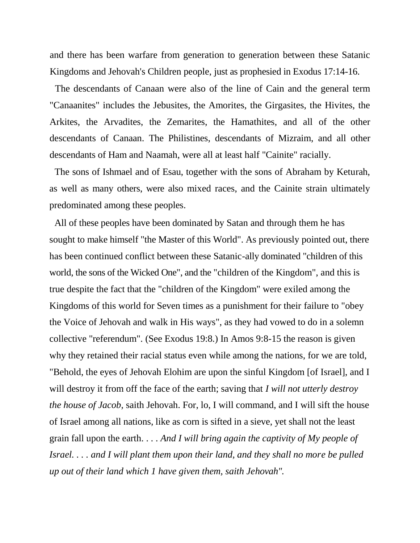and there has been warfare from generation to generation between these Satanic Kingdoms and Jehovah's Children people, just as prophesied in Exodus 17:14-16.

The descendants of Canaan were also of the line of Cain and the general term "Canaanites" includes the Jebusites, the Amorites, the Girgasites, the Hivites, the Arkites, the Arvadites, the Zemarites, the Hamathites, and all of the other descendants of Canaan. The Philistines, descendants of Mizraim, and all other descendants of Ham and Naamah, were all at least half "Cainite" racially.

The sons of Ishmael and of Esau, together with the sons of Abraham by Keturah, as well as many others, were also mixed races, and the Cainite strain ultimately predominated among these peoples.

All of these peoples have been dominated by Satan and through them he has sought to make himself "the Master of this World". As previously pointed out, there has been continued conflict between these Satanic-ally dominated "children of this world, the sons of the Wicked One", and the "children of the Kingdom", and this is true despite the fact that the "children of the Kingdom" were exiled among the Kingdoms of this world for Seven times as a punishment for their failure to "obey the Voice of Jehovah and walk in His ways", as they had vowed to do in a solemn collective "referendum". (See Exodus 19:8.) In Amos 9:8-15 the reason is given why they retained their racial status even while among the nations, for we are told, "Behold, the eyes of Jehovah Elohim are upon the sinful Kingdom [of Israel], and I will destroy it from off the face of the earth; saving that *I will not utterly destroy the house of Jacob*, saith Jehovah. For, lo, I will command, and I will sift the house of Israel among all nations, like as corn is sifted in a sieve, yet shall not the least grain fall upon the earth. . . . *And I will bring again the captivity of My people of Israel. . . . and I will plant them upon their land, and they shall no more be pulled up out of their land which 1 have given them, saith Jehovah".*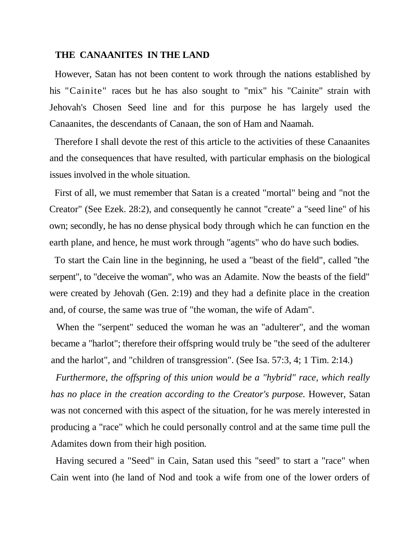### **THE CANAANITES IN THE LAND**

However, Satan has not been content to work through the nations established by his "Cainite" races but he has also sought to "mix" his "Cainite" strain with Jehovah's Chosen Seed line and for this purpose he has largely used the Canaanites, the descendants of Canaan, the son of Ham and Naamah.

Therefore I shall devote the rest of this article to the activities of these Canaanites and the consequences that have resulted, with particular emphasis on the biological issues involved in the whole situation.

First of all, we must remember that Satan is a created "mortal" being and "not the Creator" (See Ezek. 28:2), and consequently he cannot "create" a "seed line" of his own; secondly, he has no dense physical body through which he can function en the earth plane, and hence, he must work through "agents" who do have such bodies.

To start the Cain line in the beginning, he used a "beast of the field", called ''the serpent", to "deceive the woman", who was an Adamite. Now the beasts of the field" were created by Jehovah (Gen. 2:19) and they had a definite place in the creation and, of course, the same was true of "the woman, the wife of Adam".

When the "serpent" seduced the woman he was an "adulterer", and the woman became a "harlot"; therefore their offspring would truly be "the seed of the adulterer and the harlot", and "children of transgression". (See Isa. 57:3, 4; 1 Tim. 2:14.)

*Furthermore, the offspring of this union would be a "hybrid" race, which really has no place in the creation according to the Creator's purpose.* However, Satan was not concerned with this aspect of the situation, for he was merely interested in producing a "race" which he could personally control and at the same time pull the Adamites down from their high position.

Having secured a "Seed" in Cain, Satan used this "seed" to start a "race" when Cain went into (he land of Nod and took a wife from one of the lower orders of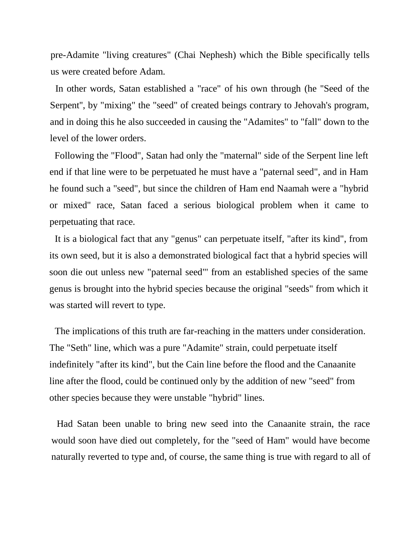pre-Adamite "living creatures" (Chai Nephesh) which the Bible specifically tells us were created before Adam.

In other words, Satan established a "race" of his own through (he ''Seed of the Serpent'', by "mixing" the "seed" of created beings contrary to Jehovah's program, and in doing this he also succeeded in causing the "Adamites" to "fall" down to the level of the lower orders.

Following the "Flood", Satan had only the "maternal" side of the Serpent line left end if that line were to be perpetuated he must have a "paternal seed", and in Ham he found such a "seed", but since the children of Ham end Naamah were a "hybrid or mixed" race, Satan faced a serious biological problem when it came to perpetuating that race.

It is a biological fact that any "genus" can perpetuate itself, "after its kind", from its own seed, but it is also a demonstrated biological fact that a hybrid species will soon die out unless new "paternal seed"' from an established species of the same genus is brought into the hybrid species because the original "seeds" from which it was started will revert to type.

The implications of this truth are far-reaching in the matters under consideration. The "Seth" line, which was a pure "Adamite" strain, could perpetuate itself indefinitely "after its kind", but the Cain line before the flood and the Canaanite line after the flood, could be continued only by the addition of new "seed" from other species because they were unstable "hybrid" lines.

Had Satan been unable to bring new seed into the Canaanite strain, the race would soon have died out completely, for the "seed of Ham" would have become naturally reverted to type and, of course, the same thing is true with regard to all of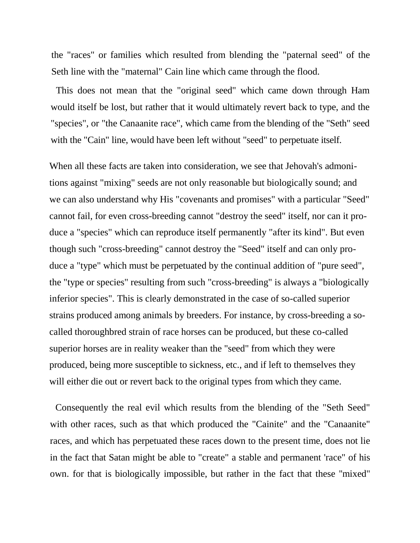the "races" or families which resulted from blending the "paternal seed" of the Seth line with the "maternal" Cain line which came through the flood.

This does not mean that the "original seed" which came down through Ham would itself be lost, but rather that it would ultimately revert back to type, and the "species", or "the Canaanite race", which came from the blending of the "Seth" seed with the "Cain" line, would have been left without "seed" to perpetuate itself.

When all these facts are taken into consideration, we see that Jehovah's admonitions against "mixing" seeds are not only reasonable but biologically sound; and we can also understand why His "covenants and promises" with a particular "Seed" cannot fail, for even cross-breeding cannot "destroy the seed" itself, nor can it produce a "species" which can reproduce itself permanently "after its kind". But even though such "cross-breeding" cannot destroy the "Seed" itself and can only produce a "type" which must be perpetuated by the continual addition of "pure seed", the "type or species" resulting from such "cross-breeding" is always a "biologically inferior species". This is clearly demonstrated in the case of so-called superior strains produced among animals by breeders. For instance, by cross-breeding a socalled thoroughbred strain of race horses can be produced, but these co-called superior horses are in reality weaker than the "seed" from which they were produced, being more susceptible to sickness, etc., and if left to themselves they will either die out or revert back to the original types from which they came.

Consequently the real evil which results from the blending of the "Seth Seed" with other races, such as that which produced the "Cainite" and the "Canaanite" races, and which has perpetuated these races down to the present time, does not lie in the fact that Satan might be able to "create" a stable and permanent 'race" of his own. for that is biologically impossible, but rather in the fact that these ''mixed"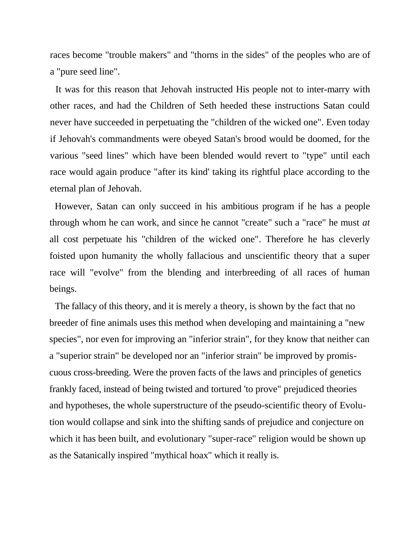races become "trouble makers" and "thorns in the sides" of the peoples who are of a "pure seed line".

It was for this reason that Jehovah instructed His people not to inter-marry with other races, and had the Children of Seth heeded these instructions Satan could never have succeeded in perpetuating the "children of the wicked one". Even today if Jehovah's commandments were obeyed Satan's brood would be doomed, for the various "seed lines" which have been blended would revert to "type" until each race would again produce "after its kind' taking its rightful place according to the eternal plan of Jehovah.

However, Satan can only succeed in his ambitious program if he has a people through whom he can work, and since he cannot "create" such a "race" he must *at*  all cost perpetuate his "children of the wicked one". Therefore he has cleverly foisted upon humanity the wholly fallacious and unscientific theory that a super race will "evolve" from the blending and interbreeding of all races of human beings.

The fallacy of this theory, and it is merely a theory, is shown by the fact that no breeder of fine animals uses this method when developing and maintaining a "new species", nor even for improving an "inferior strain", for they know that neither can a "superior strain" be developed nor an "inferior strain" be improved by promiscuous cross-breeding. Were the proven facts of the laws and principles of genetics frankly faced, instead of being twisted and tortured 'to prove" prejudiced theories and hypotheses, the whole superstructure of the pseudo-scientific theory of Evolution would collapse and sink into the shifting sands of prejudice and conjecture on which it has been built, and evolutionary "super-race" religion would be shown up as the Satanically inspired "mythical hoax" which it really is.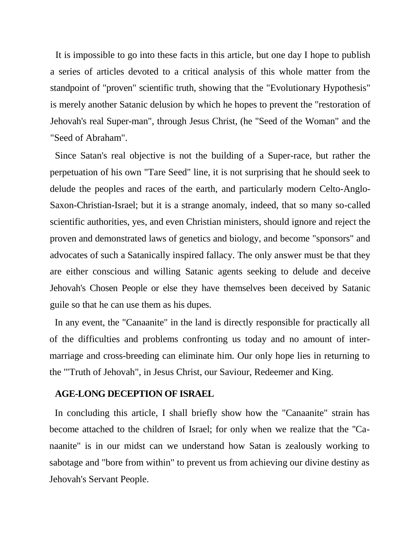It is impossible to go into these facts in this article, but one day I hope to publish a series of articles devoted to a critical analysis of this whole matter from the standpoint of "proven" scientific truth, showing that the "Evolutionary Hypothesis" is merely another Satanic delusion by which he hopes to prevent the "restoration of Jehovah's real Super-man", through Jesus Christ, (he "Seed of the Woman" and the "Seed of Abraham".

Since Satan's real objective is not the building of a Super-race, but rather the perpetuation of his own "Tare Seed" line, it is not surprising that he should seek to delude the peoples and races of the earth, and particularly modern Celto-Anglo-Saxon-Christian-Israel; but it is a strange anomaly, indeed, that so many so-called scientific authorities, yes, and even Christian ministers, should ignore and reject the proven and demonstrated laws of genetics and biology, and become "sponsors" and advocates of such a Satanically inspired fallacy. The only answer must be that they are either conscious and willing Satanic agents seeking to delude and deceive Jehovah's Chosen People or else they have themselves been deceived by Satanic guile so that he can use them as his dupes.

In any event, the "Canaanite" in the land is directly responsible for practically all of the difficulties and problems confronting us today and no amount of intermarriage and cross-breeding can eliminate him. Our only hope lies in returning to the '"Truth of Jehovah", in Jesus Christ, our Saviour, Redeemer and King.

### **AGE-LONG DECEPTION OF ISRAEL**

In concluding this article, I shall briefly show how the "Canaanite" strain has become attached to the children of Israel; for only when we realize that the ''Canaanite" is in our midst can we understand how Satan is zealously working to sabotage and "bore from within" to prevent us from achieving our divine destiny as Jehovah's Servant People.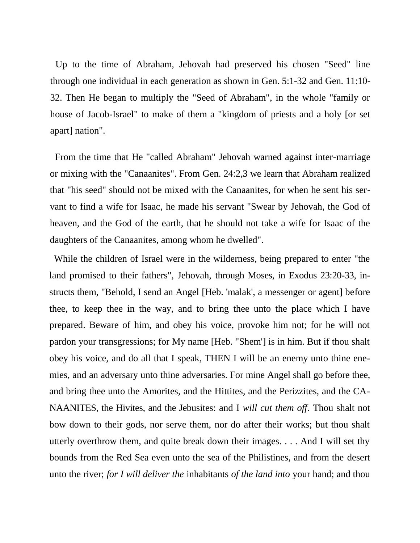Up to the time of Abraham, Jehovah had preserved his chosen "Seed" line through one individual in each generation as shown in Gen. 5:1-32 and Gen. 11:10- 32. Then He began to multiply the "Seed of Abraham", in the whole "family or house of Jacob-Israel" to make of them a "kingdom of priests and a holy [or set apart] nation".

From the time that He "called Abraham" Jehovah warned against inter-marriage or mixing with the "Canaanites". From Gen. 24:2,3 we learn that Abraham realized that "his seed" should not be mixed with the Canaanites, for when he sent his servant to find a wife for Isaac, he made his servant "Swear by Jehovah, the God of heaven, and the God of the earth, that he should not take a wife for Isaac of the daughters of the Canaanites, among whom he dwelled".

While the children of Israel were in the wilderness, being prepared to enter "the land promised to their fathers", Jehovah, through Moses, in Exodus 23:20-33, instructs them, "Behold, I send an Angel [Heb. 'malak', a messenger or agent] before thee, to keep thee in the way, and to bring thee unto the place which I have prepared. Beware of him, and obey his voice, provoke him not; for he will not pardon your transgressions; for My name [Heb. "Shem'] is in him. But if thou shalt obey his voice, and do all that I speak, THEN I will be an enemy unto thine enemies, and an adversary unto thine adversaries. For mine Angel shall go before thee, and bring thee unto the Amorites, and the Hittites, and the Perizzites, and the CA-NAANITES, the Hivites, and the Jebusites: and I *will cut them off.* Thou shalt not bow down to their gods, nor serve them, nor do after their works; but thou shalt utterly overthrow them, and quite break down their images. . . . And I will set thy bounds from the Red Sea even unto the sea of the Philistines, and from the desert unto the river; *for I will deliver the* inhabitants *of the land into* your hand; and thou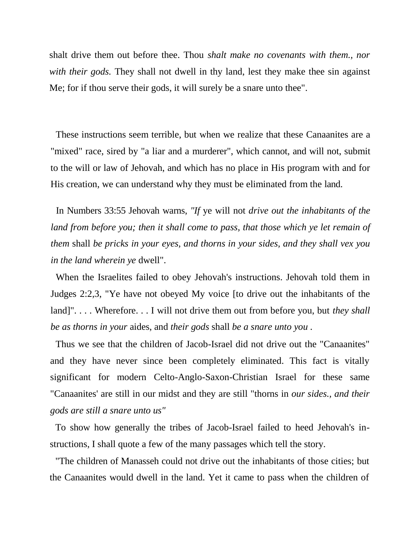shalt drive them out before thee. Thou *shalt make no covenants with them., nor with their gods.* They shall not dwell in thy land, lest they make thee sin against Me; for if thou serve their gods, it will surely be a snare unto thee".

These instructions seem terrible, but when we realize that these Canaanites are a "mixed" race, sired by "a liar and a murderer", which cannot, and will not, submit to the will or law of Jehovah, and which has no place in His program with and for His creation, we can understand why they must be eliminated from the land.

In Numbers 33:55 Jehovah warns, *"If* ye will not *drive out the inhabitants of the land from before you; then it shall come to pass, that those which ye let remain of them* shall *be pricks in your eyes, and thorns in your sides, and they shall vex you in the land wherein ye* dwell".

When the Israelites failed to obey Jehovah's instructions. Jehovah told them in Judges 2:2,3, "Ye have not obeyed My voice [to drive out the inhabitants of the land]".... Wherefore... I will not drive them out from before you, but *they shall be as thorns in your* aides, and *their gods* shall *be a snare unto you .*

Thus we see that the children of Jacob-Israel did not drive out the "Canaanites" and they have never since been completely eliminated. This fact is vitally significant for modern Celto-Anglo-Saxon-Christian Israel for these same "Canaanites' are still in our midst and they are still "thorns in *our sides., and their gods are still a snare unto us"*

To show how generally the tribes of Jacob-Israel failed to heed Jehovah's instructions, I shall quote a few of the many passages which tell the story.

"The children of Manasseh could not drive out the inhabitants of those cities; but the Canaanites would dwell in the land. Yet it came to pass when the children of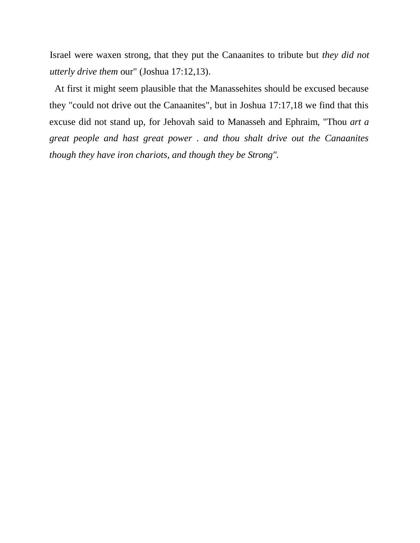Israel were waxen strong, that they put the Canaanites to tribute but *they did not utterly drive them* our" (Joshua 17:12,13).

At first it might seem plausible that the Manassehites should be excused because they "could not drive out the Canaanites", but in Joshua 17:17,18 we find that this excuse did not stand up, for Jehovah said to Manasseh and Ephraim, "Thou *art a great people and hast great power . and thou shalt drive out the Canaanites though they have iron chariots, and though they be Strong".*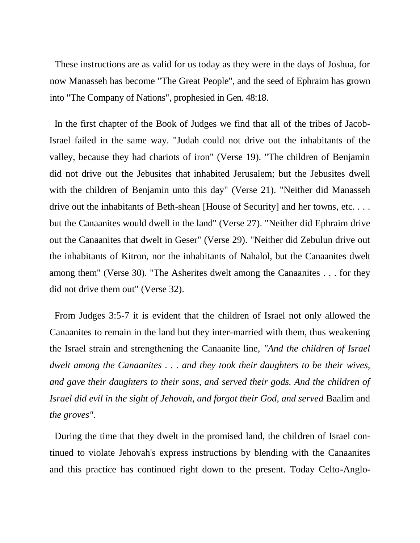These instructions are as valid for us today as they were in the days of Joshua, for now Manasseh has become "The Great People", and the seed of Ephraim has grown into "The Company of Nations", prophesied in Gen. 48:18.

In the first chapter of the Book of Judges we find that all of the tribes of Jacob-Israel failed in the same way. "Judah could not drive out the inhabitants of the valley, because they had chariots of iron" (Verse 19). "The children of Benjamin did not drive out the Jebusites that inhabited Jerusalem; but the Jebusites dwell with the children of Benjamin unto this day" (Verse 21). "Neither did Manasseh drive out the inhabitants of Beth-shean [House of Security] and her towns, etc. . . . but the Canaanites would dwell in the land" (Verse 27). "Neither did Ephraim drive out the Canaanites that dwelt in Geser" (Verse 29). "Neither did Zebulun drive out the inhabitants of Kitron, nor the inhabitants of Nahalol, but the Canaanites dwelt among them" (Verse 30). "The Asherites dwelt among the Canaanites . . . for they did not drive them out" (Verse 32).

From Judges 3:5-7 it is evident that the children of Israel not only allowed the Canaanites to remain in the land but they inter-married with them, thus weakening the Israel strain and strengthening the Canaanite line, *"And the children of Israel dwelt among the Canaanites . . . and they took their daughters to be their wives, and gave their daughters to their sons, and served their gods. And the children of Israel did evil in the sight of Jehovah, and forgot their God, and served* Baalim and *the groves".*

During the time that they dwelt in the promised land, the children of Israel continued to violate Jehovah's express instructions by blending with the Canaanites and this practice has continued right down to the present. Today Celto-Anglo-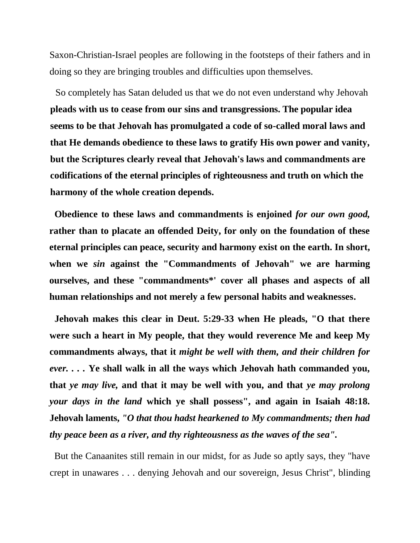Saxon-Christian-Israel peoples are following in the footsteps of their fathers and in doing so they are bringing troubles and difficulties upon themselves.

So completely has Satan deluded us that we do not even understand why Jehovah **pleads with us to cease from our sins and transgressions. The popular idea seems to be that Jehovah has promulgated a code of so-called moral laws and that He demands obedience to these laws to gratify His own power and vanity, but the Scriptures clearly reveal that Jehovah's laws and commandments are codifications of the eternal principles of righteousness and truth on which the harmony of the whole creation depends.**

**Obedience to these laws and commandments is enjoined** *for our own good,*  **rather than to placate an offended Deity, for only on the foundation of these eternal principles can peace, security and harmony exist on the earth. In short, when we** *sin* **against the "Commandments of Jehovah" we are harming ourselves, and these "commandments\*' cover all phases and aspects of all human relationships and not merely a few personal habits and weaknesses.**

**Jehovah makes this clear in Deut. 5:29-33 when He pleads, "O that there were such a heart in My people, that they would reverence Me and keep My commandments always, that it** *might be well with them, and their children for ever. . . .* **Ye shall walk in all the ways which Jehovah hath commanded you, that** *ye may live,* **and that it may be well with you, and that** *ye may prolong your days in the land* **which ye shall possess", and again in Isaiah 48:18. Jehovah laments,** *"O that thou hadst hearkened to My commandments; then had thy peace been as a river, and thy righteousness as the waves of the sea".*

But the Canaanites still remain in our midst, for as Jude so aptly says, they "have crept in unawares . . . denying Jehovah and our sovereign, Jesus Christ", blinding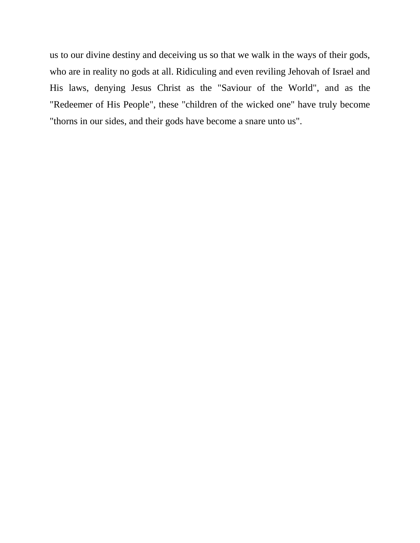us to our divine destiny and deceiving us so that we walk in the ways of their gods, who are in reality no gods at all. Ridiculing and even reviling Jehovah of Israel and His laws, denying Jesus Christ as the "Saviour of the World", and as the "Redeemer of His People", these "children of the wicked one" have truly become "thorns in our sides, and their gods have become a snare unto us".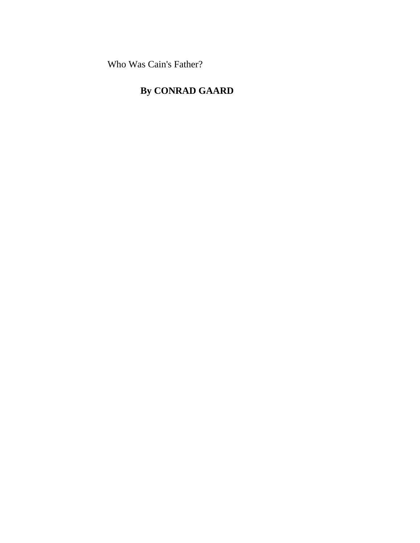Who Was Cain's Father?

# **By CONRAD GAARD**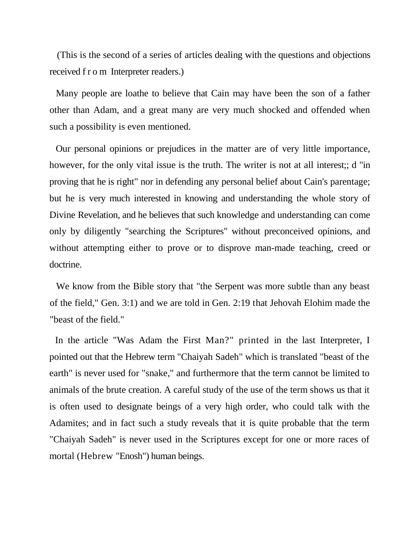(This is the second of a series of articles dealing with the questions and objections received f r o m Interpreter readers.)

Many people are loathe to believe that Cain may have been the son of a father other than Adam, and a great many are very much shocked and offended when such a possibility is even mentioned.

Our personal opinions or prejudices in the matter are of very little importance, however, for the only vital issue is the truth. The writer is not at all interest;; d "in proving that he is right" nor in defending any personal belief about Cain's parentage; but he is very much interested in knowing and understanding the whole story of Divine Revelation, and he believes that such knowledge and understanding can come only by diligently "searching the Scriptures" without preconceived opinions, and without attempting either to prove or to disprove man-made teaching, creed or doctrine.

We know from the Bible story that "the Serpent was more subtle than any beast of the field," Gen. 3:1) and we are told in Gen. 2:19 that Jehovah Elohim made the "beast of the field."

In the article "Was Adam the First Man?" printed in the last Interpreter, I pointed out that the Hebrew term "Chaiyah Sadeh" which is translated "beast of the earth" is never used for "snake," and furthermore that the term cannot be limited to animals of the brute creation. A careful study of the use of the term shows us that it is often used to designate beings of a very high order, who could talk with the Adamites; and in fact such a study reveals that it is quite probable that the term "Chaiyah Sadeh" is never used in the Scriptures except for one or more races of mortal (Hebrew "Enosh") human beings.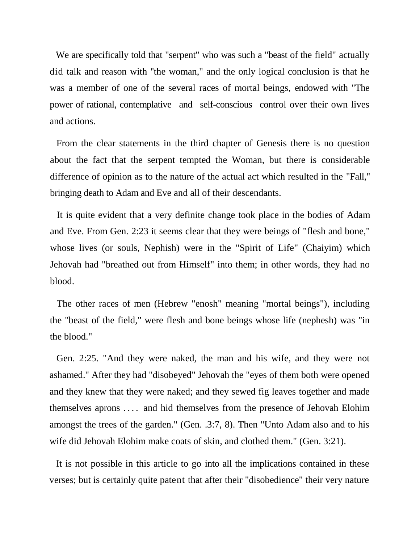We are specifically told that "serpent" who was such a "beast of the field" actually did talk and reason with ''the woman," and the only logical conclusion is that he was a member of one of the several races of mortal beings, endowed with "The power of rational, contemplative and self-conscious control over their own lives and actions.

From the clear statements in the third chapter of Genesis there is no question about the fact that the serpent tempted the Woman, but there is considerable difference of opinion as to the nature of the actual act which resulted in the "Fall," bringing death to Adam and Eve and all of their descendants.

It is quite evident that a very definite change took place in the bodies of Adam and Eve. From Gen. 2:23 it seems clear that they were beings of "flesh and bone," whose lives (or souls, Nephish) were in the "Spirit of Life" (Chaiyim) which Jehovah had "breathed out from Himself" into them; in other words, they had no blood.

The other races of men (Hebrew "enosh" meaning "mortal beings"), including the "beast of the field," were flesh and bone beings whose life (nephesh) was "in the blood."

Gen. 2:25. "And they were naked, the man and his wife, and they were not ashamed." After they had "disobeyed" Jehovah the "eyes of them both were opened and they knew that they were naked; and they sewed fig leaves together and made themselves aprons . . . . and hid themselves from the presence of Jehovah Elohim amongst the trees of the garden." (Gen. .3:7, 8). Then "Unto Adam also and to his wife did Jehovah Elohim make coats of skin, and clothed them." (Gen. 3:21).

It is not possible in this article to go into all the implications contained in these verses; but is certainly quite patent that after their "disobedience" their very nature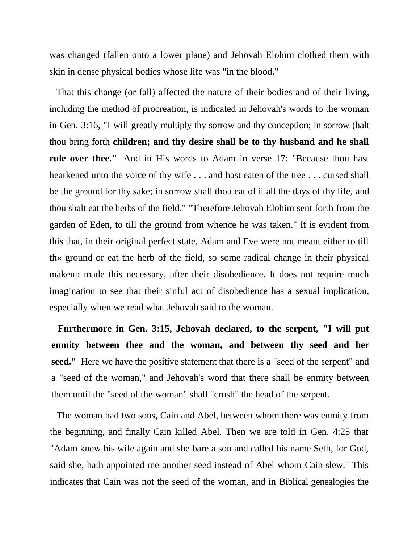was changed (fallen onto a lower plane) and Jehovah Elohim clothed them with skin in dense physical bodies whose life was "in the blood."

That this change (or fall) affected the nature of their bodies and of their living, including the method of procreation, is indicated in Jehovah's words to the woman in Gen. 3:16, "I will greatly multiply thy sorrow and thy conception; in sorrow (halt thou bring forth **children; and thy desire shall be to thy husband and he shall rule over thee."** And in His words to Adam in verse 17: "Because thou hast hearkened unto the voice of thy wife . . . and hast eaten of the tree . . . cursed shall be the ground for thy sake; in sorrow shall thou eat of it all the days of thy life, and thou shalt eat the herbs of the field." "Therefore Jehovah Elohim sent forth from the garden of Eden, to till the ground from whence he was taken." It is evident from this that, in their original perfect state, Adam and Eve were not meant either to till th« ground or eat the herb of the field, so some radical change in their physical makeup made this necessary, after their disobedience. It does not require much imagination to see that their sinful act of disobedience has a sexual implication, especially when we read what Jehovah said to the woman.

**Furthermore in Gen. 3:15, Jehovah declared, to the serpent, "I will put enmity between thee and the woman, and between thy seed and her seed."** Here we have the positive statement that there is a "seed of the serpent" and a "seed of the woman," and Jehovah's word that there shall be enmity between them until the "seed of the woman" shall "crush" the head of the serpent.

The woman had two sons, Cain and Abel, between whom there was enmity from the beginning, and finally Cain killed Abel. Then we are told in Gen. 4:25 that "Adam knew his wife again and she bare a son and called his name Seth, for God, said she, hath appointed me another seed instead of Abel whom Cain slew." This indicates that Cain was not the seed of the woman, and in Biblical genealogies the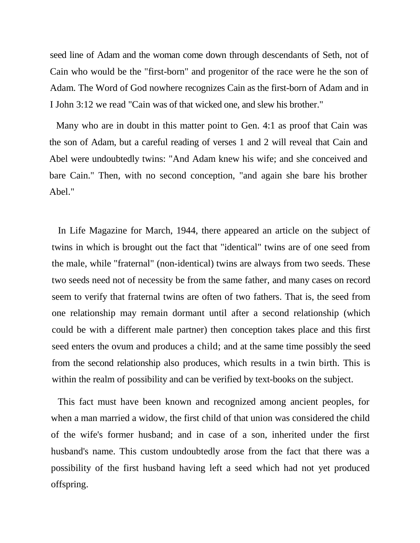seed line of Adam and the woman come down through descendants of Seth, not of Cain who would be the "first-born" and progenitor of the race were he the son of Adam. The Word of God nowhere recognizes Cain as the first-born of Adam and in I John 3:12 we read "Cain was of that wicked one, and slew his brother."

Many who are in doubt in this matter point to Gen. 4:1 as proof that Cain was the son of Adam, but a careful reading of verses 1 and 2 will reveal that Cain and Abel were undoubtedly twins: "And Adam knew his wife; and she conceived and bare Cain." Then, with no second conception, "and again she bare his brother Abel."

In Life Magazine for March, 1944, there appeared an article on the subject of twins in which is brought out the fact that "identical" twins are of one seed from the male, while "fraternal" (non-identical) twins are always from two seeds. These two seeds need not of necessity be from the same father, and many cases on record seem to verify that fraternal twins are often of two fathers. That is, the seed from one relationship may remain dormant until after a second relationship (which could be with a different male partner) then conception takes place and this first seed enters the ovum and produces a child; and at the same time possibly the seed from the second relationship also produces, which results in a twin birth. This is within the realm of possibility and can be verified by text-books on the subject.

This fact must have been known and recognized among ancient peoples, for when a man married a widow, the first child of that union was considered the child of the wife's former husband; and in case of a son, inherited under the first husband's name. This custom undoubtedly arose from the fact that there was a possibility of the first husband having left a seed which had not yet produced offspring.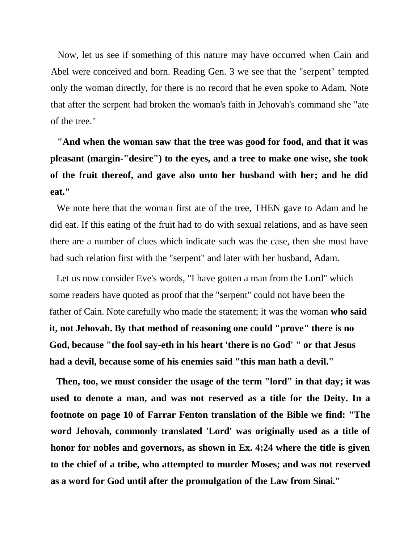Now, let us see if something of this nature may have occurred when Cain and Abel were conceived and born. Reading Gen. 3 we see that the "serpent" tempted only the woman directly, for there is no record that he even spoke to Adam. Note that after the serpent had broken the woman's faith in Jehovah's command she "ate of the tree."

**"And when the woman saw that the tree was good for food, and that it was pleasant (margin-"desire") to the eyes, and a tree to make one wise, she took of the fruit thereof, and gave also unto her husband with her; and he did eat."**

We note here that the woman first ate of the tree, THEN gave to Adam and he did eat. If this eating of the fruit had to do with sexual relations, and as have seen there are a number of clues which indicate such was the case, then she must have had such relation first with the "serpent" and later with her husband, Adam.

Let us now consider Eve's words, "I have gotten a man from the Lord" which some readers have quoted as proof that the "serpent" could not have been the father of Cain. Note carefully who made the statement; it was the woman **who said it, not Jehovah. By that method of reasoning one could "prove" there is no God, because "the fool say-eth in his heart 'there is no God' " or that Jesus had a devil, because some of his enemies said "this man hath a devil."**

**Then, too, we must consider the usage of the term "lord" in that day; it was used to denote a man, and was not reserved as a title for the Deity. In a footnote on page 10 of Farrar Fenton translation of the Bible we find: "The word Jehovah, commonly translated 'Lord' was originally used as a title of honor for nobles and governors, as shown in Ex. 4:24 where the title is given to the chief of a tribe, who attempted to murder Moses; and was not reserved as a word for God until after the promulgation of the Law from Sinai."**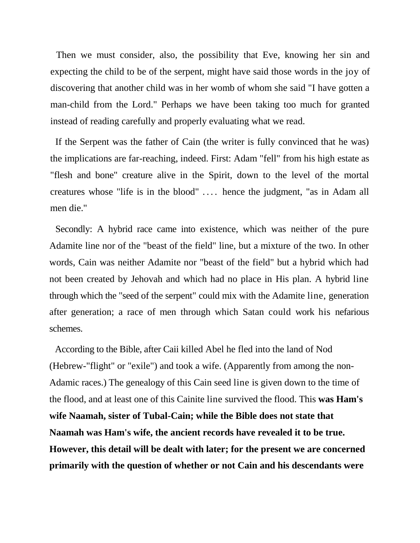Then we must consider, also, the possibility that Eve, knowing her sin and expecting the child to be of the serpent, might have said those words in the joy of discovering that another child was in her womb of whom she said "I have gotten a man-child from the Lord." Perhaps we have been taking too much for granted instead of reading carefully and properly evaluating what we read.

If the Serpent was the father of Cain (the writer is fully convinced that he was) the implications are far-reaching, indeed. First: Adam "fell" from his high estate as "flesh and bone" creature alive in the Spirit, down to the level of the mortal creatures whose "life is in the blood" . . . . hence the judgment, "as in Adam all men die."

Secondly: A hybrid race came into existence, which was neither of the pure Adamite line nor of the "beast of the field" line, but a mixture of the two. In other words, Cain was neither Adamite nor "beast of the field" but a hybrid which had not been created by Jehovah and which had no place in His plan. A hybrid line through which the "seed of the serpent" could mix with the Adamite line, generation after generation; a race of men through which Satan could work his nefarious schemes.

According to the Bible, after Caii killed Abel he fled into the land of Nod (Hebrew-"flight" or "exile") and took a wife. (Apparently from among the non-Adamic races.) The genealogy of this Cain seed line is given down to the time of the flood, and at least one of this Cainite line survived the flood. This **was Ham's wife Naamah, sister of Tubal-Cain; while the Bible does not state that Naamah was Ham's wife, the ancient records have revealed it to be true. However, this detail will be dealt with later; for the present we are concerned primarily with the question of whether or not Cain and his descendants were**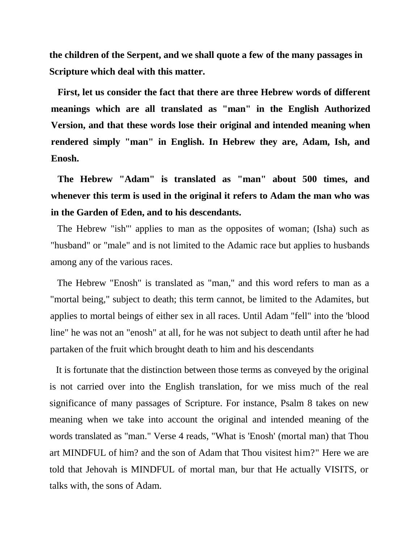**the children of the Serpent, and we shall quote a few of the many passages in Scripture which deal with this matter.**

**First, let us consider the fact that there are three Hebrew words of different meanings which are all translated as "man" in the English Authorized Version, and that these words lose their original and intended meaning when rendered simply "man" in English. In Hebrew they are, Adam, Ish, and Enosh.**

**The Hebrew "Adam" is translated as "man" about 500 times, and whenever this term is used in the original it refers to Adam the man who was in the Garden of Eden, and to his descendants.**

The Hebrew "ish"' applies to man as the opposites of woman; (Isha) such as "husband" or "male" and is not limited to the Adamic race but applies to husbands among any of the various races.

The Hebrew "Enosh" is translated as "man," and this word refers to man as a "mortal being," subject to death; this term cannot, be limited to the Adamites, but applies to mortal beings of either sex in all races. Until Adam "fell" into the 'blood line" he was not an "enosh" at all, for he was not subject to death until after he had partaken of the fruit which brought death to him and his descendants

It is fortunate that the distinction between those terms as conveyed by the original is not carried over into the English translation, for we miss much of the real significance of many passages of Scripture. For instance, Psalm 8 takes on new meaning when we take into account the original and intended meaning of the words translated as "man." Verse 4 reads, "What is 'Enosh' (mortal man) that Thou art MINDFUL of him? and the son of Adam that Thou visitest him?" Here we are told that Jehovah is MINDFUL of mortal man, bur that He actually VISITS, or talks with, the sons of Adam.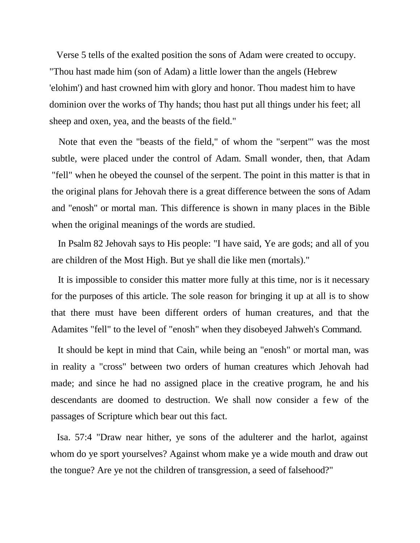Verse 5 tells of the exalted position the sons of Adam were created to occupy. "Thou hast made him (son of Adam) a little lower than the angels (Hebrew 'elohim') and hast crowned him with glory and honor. Thou madest him to have dominion over the works of Thy hands; thou hast put all things under his feet; all sheep and oxen, yea, and the beasts of the field."

Note that even the "beasts of the field," of whom the "serpent"' was the most subtle, were placed under the control of Adam. Small wonder, then, that Adam "fell" when he obeyed the counsel of the serpent. The point in this matter is that in the original plans for Jehovah there is a great difference between the sons of Adam and "enosh" or mortal man. This difference is shown in many places in the Bible when the original meanings of the words are studied.

In Psalm 82 Jehovah says to His people: "I have said, Ye are gods; and all of you are children of the Most High. But ye shall die like men (mortals)."

It is impossible to consider this matter more fully at this time, nor is it necessary for the purposes of this article. The sole reason for bringing it up at all is to show that there must have been different orders of human creatures, and that the Adamites "fell" to the level of "enosh" when they disobeyed Jahweh's Command.

It should be kept in mind that Cain, while being an "enosh" or mortal man, was in reality a "cross" between two orders of human creatures which Jehovah had made; and since he had no assigned place in the creative program, he and his descendants are doomed to destruction. We shall now consider a few of the passages of Scripture which bear out this fact.

Isa. 57:4 "Draw near hither, ye sons of the adulterer and the harlot, against whom do ye sport yourselves? Against whom make ye a wide mouth and draw out the tongue? Are ye not the children of transgression, a seed of falsehood?"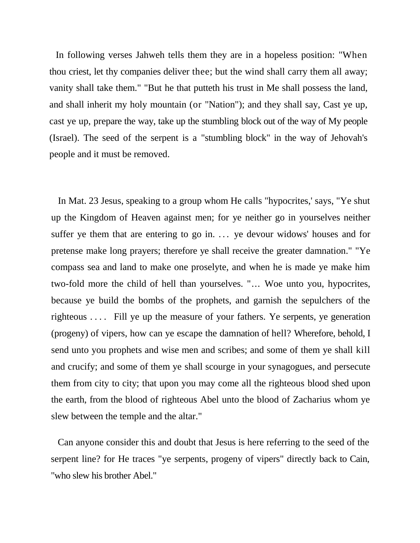In following verses Jahweh tells them they are in a hopeless position: "When thou criest, let thy companies deliver thee; but the wind shall carry them all away; vanity shall take them." "But he that putteth his trust in Me shall possess the land, and shall inherit my holy mountain (or "Nation"); and they shall say, Cast ye up, cast ye up, prepare the way, take up the stumbling block out of the way of My people (Israel). The seed of the serpent is a "stumbling block" in the way of Jehovah's people and it must be removed.

In Mat. 23 Jesus, speaking to a group whom He calls "hypocrites,' says, "Ye shut up the Kingdom of Heaven against men; for ye neither go in yourselves neither suffer ye them that are entering to go in. ... ye devour widows' houses and for pretense make long prayers; therefore ye shall receive the greater damnation." "Ye compass sea and land to make one proselyte, and when he is made ye make him two-fold more the child of hell than yourselves. "... Woe unto you, hypocrites, because ye build the bombs of the prophets, and garnish the sepulchers of the righteous .... Fill ye up the measure of your fathers. Ye serpents, ye generation (progeny) of vipers, how can ye escape the damnation of hell? Wherefore, behold, I send unto you prophets and wise men and scribes; and some of them ye shall kill and crucify; and some of them ye shall scourge in your synagogues, and persecute them from city to city; that upon you may come all the righteous blood shed upon the earth, from the blood of righteous Abel unto the blood of Zacharius whom ye slew between the temple and the altar."

Can anyone consider this and doubt that Jesus is here referring to the seed of the serpent line? for He traces "ye serpents, progeny of vipers" directly back to Cain, "who slew his brother Abel."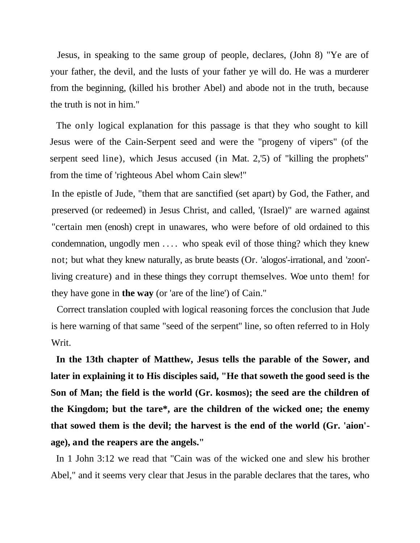Jesus, in speaking to the same group of people, declares, (John 8) "Ye are of your father, the devil, and the lusts of your father ye will do. He was a murderer from the beginning, (killed his brother Abel) and abode not in the truth, because the truth is not in him."

The only logical explanation for this passage is that they who sought to kill Jesus were of the Cain-Serpent seed and were the "progeny of vipers" (of the serpent seed line), which Jesus accused (in Mat. 2,'5) of "killing the prophets" from the time of 'righteous Abel whom Cain slew!"

In the epistle of Jude, "them that are sanctified (set apart) by God, the Father, and preserved (or redeemed) in Jesus Christ, and called, '(Israel)" are warned against "certain men (enosh) crept in unawares, who were before of old ordained to this condemnation, ungodly men .... who speak evil of those thing? which they knew not; but what they knew naturally, as brute beasts (Or. 'alogos'-irrational, and 'zoon' living creature) and in these things they corrupt themselves. Woe unto them! for they have gone in **the way** (or 'are of the line') of Cain."

Correct translation coupled with logical reasoning forces the conclusion that Jude is here warning of that same "seed of the serpent'' line, so often referred to in Holy Writ.

**In the 13th chapter of Matthew, Jesus tells the parable of the Sower, and later in explaining it to His disciples said, "He that soweth the good seed is the Son of Man; the field is the world (Gr. kosmos); the seed are the children of the Kingdom; but the tare\*, are the children of the wicked one; the enemy that sowed them is the devil; the harvest is the end of the world (Gr. 'aion' age), and the reapers are the angels."**

In 1 John 3:12 we read that "Cain was of the wicked one and slew his brother Abel," and it seems very clear that Jesus in the parable declares that the tares, who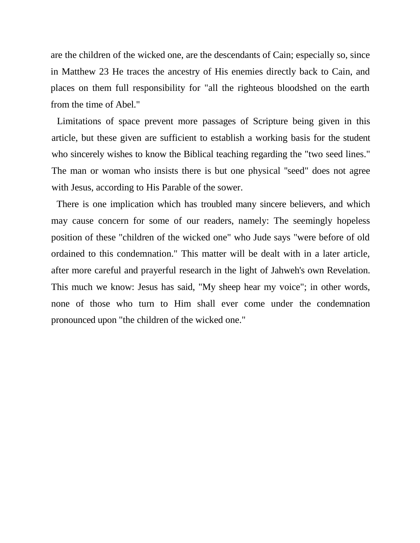are the children of the wicked one, are the descendants of Cain; especially so, since in Matthew 23 He traces the ancestry of His enemies directly back to Cain, and places on them full responsibility for "all the righteous bloodshed on the earth from the time of Abel."

Limitations of space prevent more passages of Scripture being given in this article, but these given are sufficient to establish a working basis for the student who sincerely wishes to know the Biblical teaching regarding the "two seed lines." The man or woman who insists there is but one physical ''seed" does not agree with Jesus, according to His Parable of the sower.

There is one implication which has troubled many sincere believers, and which may cause concern for some of our readers, namely: The seemingly hopeless position of these "children of the wicked one" who Jude says "were before of old ordained to this condemnation." This matter will be dealt with in a later article, after more careful and prayerful research in the light of Jahweh's own Revelation. This much we know: Jesus has said, "My sheep hear my voice"; in other words, none of those who turn to Him shall ever come under the condemnation pronounced upon "the children of the wicked one."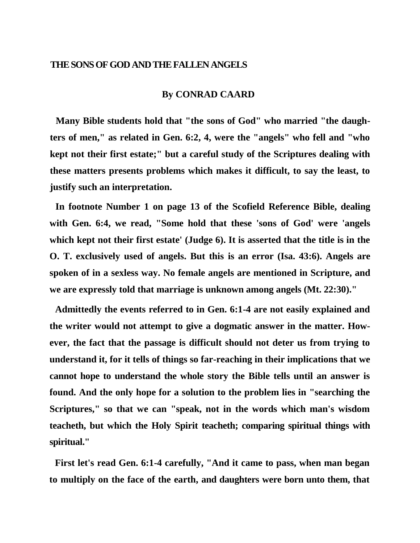# **THE SONS OF GOD AND THE FALLEN ANGELS**

# **By CONRAD CAARD**

**Many Bible students hold that "the sons of God" who married "the daughters of men," as related in Gen. 6:2, 4, were the "angels" who fell and "who kept not their first estate;" but a careful study of the Scriptures dealing with these matters presents problems which makes it difficult, to say the least, to justify such an interpretation.**

**In footnote Number 1 on page 13 of the Scofield Reference Bible, dealing with Gen. 6:4, we read, "Some hold that these 'sons of God' were 'angels which kept not their first estate' (Judge 6). It is asserted that the title is in the O. T. exclusively used of angels. But this is an error (Isa. 43:6). Angels are spoken of in a sexless way. No female angels are mentioned in Scripture, and we are expressly told that marriage is unknown among angels (Mt. 22:30)."**

**Admittedly the events referred to in Gen. 6:1-4 are not easily explained and the writer would not attempt to give a dogmatic answer in the matter. However, the fact that the passage is difficult should not deter us from trying to understand it, for it tells of things so far-reaching in their implications that we cannot hope to understand the whole story the Bible tells until an answer is found. And the only hope for a solution to the problem lies in "searching the Scriptures," so that we can "speak, not in the words which man's wisdom teacheth, but which the Holy Spirit teacheth; comparing spiritual things with spiritual."**

**First let's read Gen. 6:1-4 carefully, "And it came to pass, when man began to multiply on the face of the earth, and daughters were born unto them, that**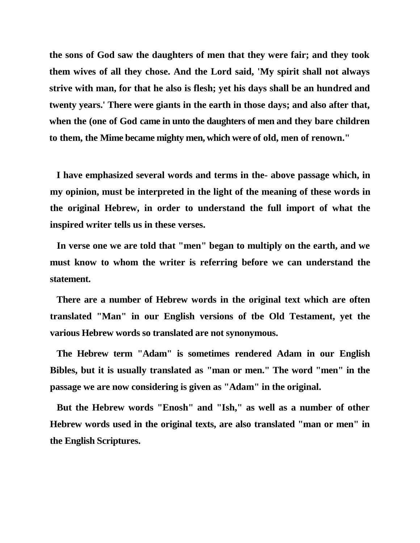**the sons of God saw the daughters of men that they were fair; and they took them wives of all they chose. And the Lord said, 'My spirit shall not always strive with man, for that he also is flesh; yet his days shall be an hundred and twenty years.' There were giants in the earth in those days; and also after that, when the (one of God came in unto the daughters of men and they bare children to them, the Mime became mighty men, which were of old, men of renown."**

**I have emphasized several words and terms in the- above passage which, in my opinion, must be interpreted in the light of the meaning of these words in the original Hebrew, in order to understand the full import of what the inspired writer tells us in these verses.**

**In verse one we are told that "men" began to multiply on the earth, and we must know to whom the writer is referring before we can understand the statement.**

**There are a number of Hebrew words in the original text which are often translated "Man" in our English versions of tbe Old Testament, yet the various Hebrew words so translated are not synonymous.**

**The Hebrew term "Adam" is sometimes rendered Adam in our English Bibles, but it is usually translated as "man or men." The word "men" in the passage we are now considering is given as "Adam" in the original.**

**But the Hebrew words "Enosh" and "Ish," as well as a number of other Hebrew words used in the original texts, are also translated "man or men" in the English Scriptures.**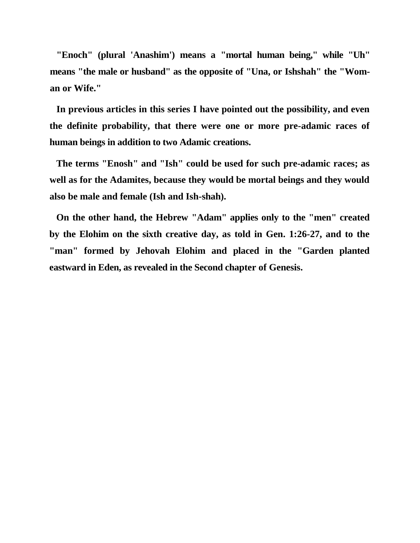**"Enoch" (plural 'Anashim') means a "mortal human being," while "Uh" means "the male or husband" as the opposite of "Una, or Ishshah" the "Woman or Wife."**

**In previous articles in this series I have pointed out the possibility, and even the definite probability, that there were one or more pre-adamic races of human beings in addition to two Adamic creations.**

**The terms "Enosh" and "Ish" could be used for such pre-adamic races; as well as for the Adamites, because they would be mortal beings and they would also be male and female (Ish and Ish-shah).**

**On the other hand, the Hebrew "Adam" applies only to the "men" created by the Elohim on the sixth creative day, as told in Gen. 1:26-27, and to the "man" formed by Jehovah Elohim and placed in the "Garden planted eastward in Eden, as revealed in the Second chapter of Genesis.**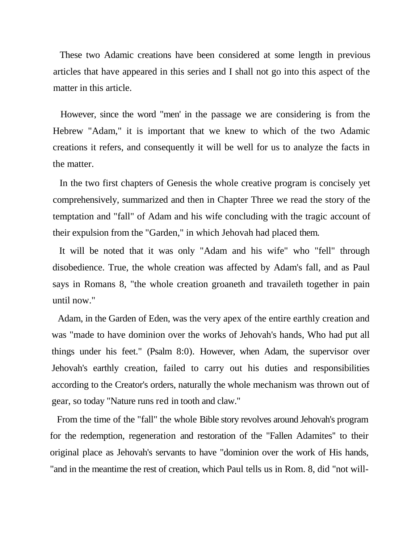These two Adamic creations have been considered at some length in previous articles that have appeared in this series and I shall not go into this aspect of the matter in this article.

However, since the word "men' in the passage we are considering is from the Hebrew "Adam," it is important that we knew to which of the two Adamic creations it refers, and consequently it will be well for us to analyze the facts in the matter.

In the two first chapters of Genesis the whole creative program is concisely yet comprehensively, summarized and then in Chapter Three we read the story of the temptation and "fall" of Adam and his wife concluding with the tragic account of their expulsion from the "Garden," in which Jehovah had placed them.

It will be noted that it was only "Adam and his wife" who "fell" through disobedience. True, the whole creation was affected by Adam's fall, and as Paul says in Romans 8, "the whole creation groaneth and travaileth together in pain until now."

Adam, in the Garden of Eden, was the very apex of the entire earthly creation and was "made to have dominion over the works of Jehovah's hands, Who had put all things under his feet." (Psalm 8:0). However, when Adam, the supervisor over Jehovah's earthly creation, failed to carry out his duties and responsibilities according to the Creator's orders, naturally the whole mechanism was thrown out of gear, so today "Nature runs red in tooth and claw."

From the time of the "fall" the whole Bible story revolves around Jehovah's program for the redemption, regeneration and restoration of the "Fallen Adamites'' to their original place as Jehovah's servants to have "dominion over the work of His hands, "and in the meantime the rest of creation, which Paul tells us in Rom. 8, did "not will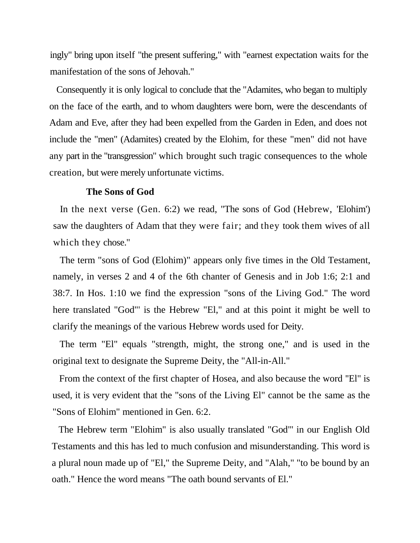ingly" bring upon itself "the present suffering," with "earnest expectation waits for the manifestation of the sons of Jehovah."

Consequently it is only logical to conclude that the "Adamites, who began to multiply on the face of the earth, and to whom daughters were born, were the descendants of Adam and Eve, after they had been expelled from the Garden in Eden, and does not include the "men" (Adamites) created by the Elohim, for these "men" did not have any part in the "transgression" which brought such tragic consequences to the whole creation, but were merely unfortunate victims.

## **The Sons of God**

In the next verse (Gen. 6:2) we read, "The sons of God (Hebrew, 'Elohim') saw the daughters of Adam that they were fair; and they took them wives of all which they chose."

The term "sons of God (Elohim)" appears only five times in the Old Testament, namely, in verses 2 and 4 of the 6th chanter of Genesis and in Job 1:6; 2:1 and 38:7. In Hos. 1:10 we find the expression "sons of the Living God." The word here translated "God"' is the Hebrew "El," and at this point it might be well to clarify the meanings of the various Hebrew words used for Deity.

The term "El" equals "strength, might, the strong one," and is used in the original text to designate the Supreme Deity, the "All-in-All."

From the context of the first chapter of Hosea, and also because the word ''El" is used, it is very evident that the "sons of the Living El" cannot be the same as the "Sons of Elohim" mentioned in Gen. 6:2.

The Hebrew term "Elohim" is also usually translated "God"' in our English Old Testaments and this has led to much confusion and misunderstanding. This word is a plural noun made up of "El," the Supreme Deity, and "Alah," "to be bound by an oath." Hence the word means "The oath bound servants of El."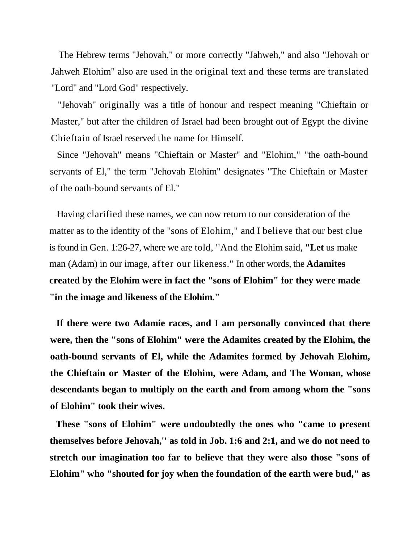The Hebrew terms "Jehovah," or more correctly "Jahweh," and also "Jehovah or Jahweh Elohim" also are used in the original text and these terms are translated "Lord" and "Lord God" respectively.

"Jehovah" originally was a title of honour and respect meaning "Chieftain or Master," but after the children of Israel had been brought out of Egypt the divine Chieftain of Israel reserved the name for Himself.

Since "Jehovah" means "Chieftain or Master'' and "Elohim," "the oath-bound servants of El," the term "Jehovah Elohim" designates "The Chieftain or Master of the oath-bound servants of El."

Having clarified these names, we can now return to our consideration of the matter as to the identity of the "sons of Elohim," and I believe that our best clue is found in Gen. 1:26-27, where we are told, ''And the Elohim said, **"Let** us make man (Adam) in our image, after our likeness." In other words, the **Adamites created by the Elohim were in fact the "sons of Elohim" for they were made "in the image and likeness of the Elohim."**

**If there were two Adamie races, and I am personally convinced that there were, then the "sons of Elohim" were the Adamites created by the Elohim, the oath-bound servants of El, while the Adamites formed by Jehovah Elohim, the Chieftain or Master of the Elohim, were Adam, and The Woman, whose descendants began to multiply on the earth and from among whom the "sons of Elohim" took their wives.**

**These "sons of Elohim" were undoubtedly the ones who "came to present themselves before Jehovah,'' as told in Job. 1:6 and 2:1, and we do not need to stretch our imagination too far to believe that they were also those "sons of Elohim" who "shouted for joy when the foundation of the earth were bud," as**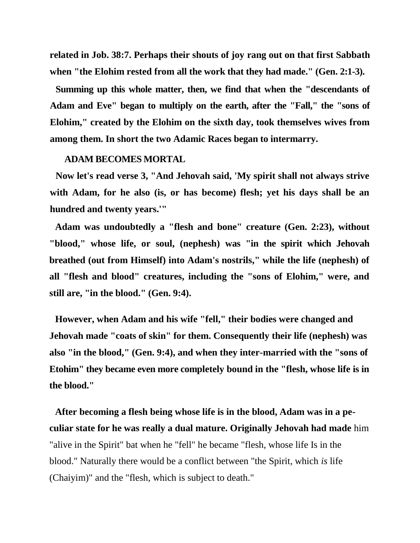**related in Job. 38:7. Perhaps their shouts of joy rang out on that first Sabbath when "the Elohim rested from all the work that they had made." (Gen. 2:1-3).**

**Summing up this whole matter, then, we find that when the "descendants of Adam and Eve" began to multiply on the earth, after the "Fall," the "sons of Elohim," created by the Elohim on the sixth day, took themselves wives from among them. In short the two Adamic Races began to intermarry.**

## **ADAM BECOMES MORTAL**

**Now let's read verse 3, "And Jehovah said, 'My spirit shall not always strive with Adam, for he also (is, or has become) flesh; yet his days shall be an hundred and twenty years.'"**

**Adam was undoubtedly a "flesh and bone" creature (Gen. 2:23), without "blood," whose life, or soul, (nephesh) was "in the spirit which Jehovah breathed (out from Himself) into Adam's nostrils," while the life (nephesh) of all "flesh and blood" creatures, including the "sons of Elohim," were, and still are, "in the blood." (Gen. 9:4).**

**However, when Adam and his wife "fell," their bodies were changed and Jehovah made "coats of skin" for them. Consequently their life (nephesh) was also "in the blood," (Gen. 9:4), and when they inter-married with the "sons of Etohim" they became even more completely bound in the "flesh, whose life is in the blood."**

**After becoming a flesh being whose life is in the blood, Adam was in a peculiar state for he was really a dual mature. Originally Jehovah had made** him "alive in the Spirit" bat when he "fell" he became "flesh, whose life Is in the blood." Naturally there would be a conflict between "the Spirit, which *is* life (Chaiyim)" and the "flesh, which is subject to death."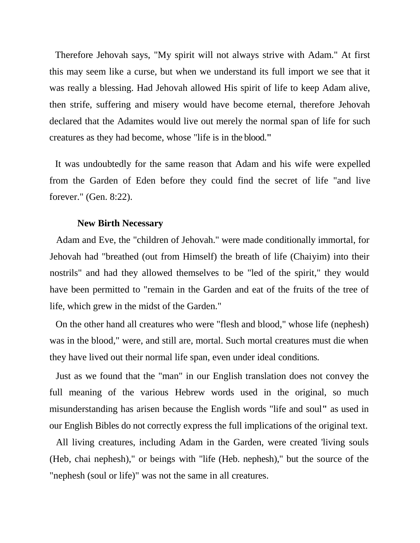Therefore Jehovah says, "My spirit will not always strive with Adam." At first this may seem like a curse, but when we understand its full import we see that it was really a blessing. Had Jehovah allowed His spirit of life to keep Adam alive, then strife, suffering and misery would have become eternal, therefore Jehovah declared that the Adamites would live out merely the normal span of life for such creatures as they had become, whose "life is in the blood.**"**

It was undoubtedly for the same reason that Adam and his wife were expelled from the Garden of Eden before they could find the secret of life "and live forever." (Gen. 8:22).

#### **New Birth Necessary**

Adam and Eve, the "children of Jehovah." were made conditionally immortal, for Jehovah had "breathed (out from Himself) the breath of life (Chaiyim) into their nostrils" and had they allowed themselves to be "led of the spirit," they would have been permitted to "remain in the Garden and eat of the fruits of the tree of life, which grew in the midst of the Garden."

On the other hand all creatures who were "flesh and blood," whose life (nephesh) was in the blood," were, and still are, mortal. Such mortal creatures must die when they have lived out their normal life span, even under ideal conditions.

Just as we found that the "man" in our English translation does not convey the full meaning of the various Hebrew words used in the original, so much misunderstanding has arisen because the English words "life and soul**"** as used in our English Bibles do not correctly express the full implications of the original text.

All living creatures, including Adam in the Garden, were created 'living souls (Heb, chai nephesh)," or beings with "life (Heb. nephesh)," but the source of the "nephesh (soul or life)" was not the same in all creatures.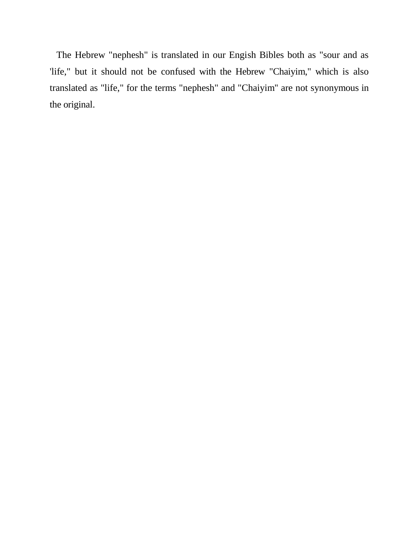The Hebrew "nephesh" is translated in our Engish Bibles both as "sour and as 'life," but it should not be confused with the Hebrew "Chaiyim," which is also translated as "life," for the terms "nephesh" and "Chaiyim'' are not synonymous in the original.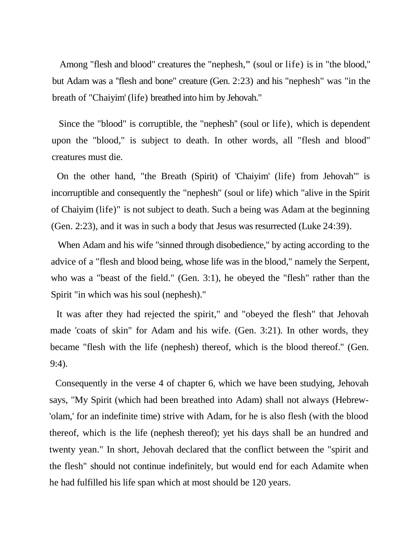Among "flesh and blood" creatures the "nephesh,**"** (soul or life) is in "the blood," but Adam was a ''flesh and bone" creature (Gen. 2:23) and his "nephesh" was "in the breath of "Chaiyim' (life) breathed into him by Jehovah."

Since the "blood" is corruptible, the "nephesh'' (soul or life), which is dependent upon the "blood," is subject to death. In other words, all "flesh and blood" creatures must die.

On the other hand, "the Breath (Spirit) of 'Chaiyim' (life) from Jehovah"' is incorruptible and consequently the "nephesh" (soul or life) which "alive in the Spirit of Chaiyim (life)" is not subject to death. Such a being was Adam at the beginning (Gen. 2:23), and it was in such a body that Jesus was resurrected (Luke 24:39).

When Adam and his wife "sinned through disobedience," by acting according to the advice of a "flesh and blood being, whose life was in the blood," namely the Serpent, who was a "beast of the field." (Gen. 3:1), he obeyed the "flesh" rather than the Spirit "in which was his soul (nephesh)."

It was after they had rejected the spirit," and "obeyed the flesh" that Jehovah made 'coats of skin" for Adam and his wife. (Gen. 3:21). In other words, they became "flesh with the life (nephesh) thereof, which is the blood thereof." (Gen. 9:4).

Consequently in the verse 4 of chapter 6, which we have been studying, Jehovah says, "My Spirit (which had been breathed into Adam) shall not always (Hebrew- 'olam,' for an indefinite time) strive with Adam, for he is also flesh (with the blood thereof, which is the life (nephesh thereof); yet his days shall be an hundred and twenty yean." In short, Jehovah declared that the conflict between the "spirit and the flesh" should not continue indefinitely, but would end for each Adamite when he had fulfilled his life span which at most should be 120 years.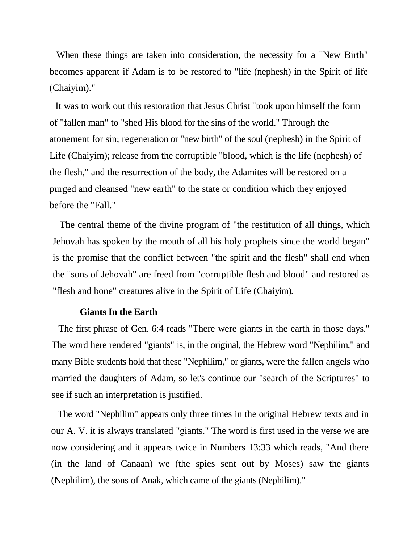When these things are taken into consideration, the necessity for a "New Birth" becomes apparent if Adam is to be restored to "life (nephesh) in the Spirit of life (Chaiyim)."

It was to work out this restoration that Jesus Christ "took upon himself the form of "fallen man" to "shed His blood for the sins of the world." Through the atonement for sin; regeneration or "new birth" of the soul (nephesh) in the Spirit of Life (Chaiyim); release from the corruptible "blood, which is the life (nephesh) of the flesh," and the resurrection of the body, the Adamites will be restored on a purged and cleansed "new earth" to the state or condition which they enjoyed before the "Fall."

The central theme of the divine program of "the restitution of all things, which Jehovah has spoken by the mouth of all his holy prophets since the world began" is the promise that the conflict between "the spirit and the flesh" shall end when the "sons of Jehovah" are freed from "corruptible flesh and blood" and restored as "flesh and bone" creatures alive in the Spirit of Life (Chaiyim).

#### **Giants In the Earth**

The first phrase of Gen. 6:4 reads "There were giants in the earth in those days." The word here rendered "giants" is, in the original, the Hebrew word "Nephilim," and many Bible students hold that these "Nephilim," or giants, were the fallen angels who married the daughters of Adam, so let's continue our "search of the Scriptures" to see if such an interpretation is justified.

The word "Nephilim" appears only three times in the original Hebrew texts and in our A. V. it is always translated "giants." The word is first used in the verse we are now considering and it appears twice in Numbers 13:33 which reads, "And there (in the land of Canaan) we (the spies sent out by Moses) saw the giants (Nephilim), the sons of Anak, which came of the giants (Nephilim)."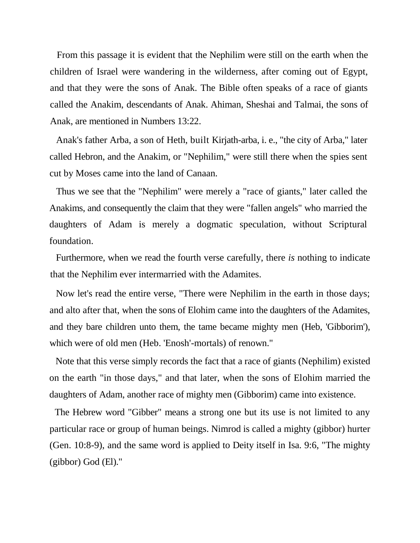From this passage it is evident that the Nephilim were still on the earth when the children of Israel were wandering in the wilderness, after coming out of Egypt, and that they were the sons of Anak. The Bible often speaks of a race of giants called the Anakim, descendants of Anak. Ahiman, Sheshai and Talmai, the sons of Anak, are mentioned in Numbers 13:22.

Anak's father Arba, a son of Heth, built Kirjath-arba, i. e., "the city of Arba," later called Hebron, and the Anakim, or "Nephilim," were still there when the spies sent cut by Moses came into the land of Canaan.

Thus we see that the "Nephilim" were merely a "race of giants," later called the Anakims, and consequently the claim that they were "fallen angels" who married the daughters of Adam is merely a dogmatic speculation, without Scriptural foundation.

Furthermore, when we read the fourth verse carefully, there *is* nothing to indicate that the Nephilim ever intermarried with the Adamites.

Now let's read the entire verse, "There were Nephilim in the earth in those days; and alto after that, when the sons of Elohim came into the daughters of the Adamites, and they bare children unto them, the tame became mighty men (Heb, 'Gibborim'), which were of old men (Heb. 'Enosh'-mortals) of renown."

Note that this verse simply records the fact that a race of giants (Nephilim) existed on the earth "in those days," and that later, when the sons of Elohim married the daughters of Adam, another race of mighty men (Gibborim) came into existence.

The Hebrew word "Gibber" means a strong one but its use is not limited to any particular race or group of human beings. Nimrod is called a mighty (gibbor) hurter (Gen. 10:8-9), and the same word is applied to Deity itself in Isa. 9:6, "The mighty (gibbor) God (El)."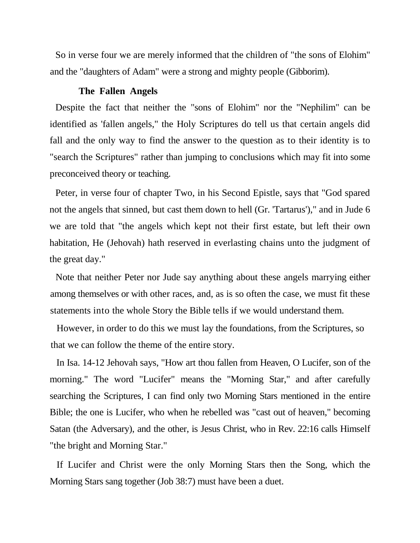So in verse four we are merely informed that the children of "the sons of Elohim" and the "daughters of Adam" were a strong and mighty people (Gibborim).

# **The Fallen Angels**

Despite the fact that neither the "sons of Elohim" nor the "Nephilim" can be identified as 'fallen angels," the Holy Scriptures do tell us that certain angels did fall and the only way to find the answer to the question as to their identity is to "search the Scriptures" rather than jumping to conclusions which may fit into some preconceived theory or teaching.

Peter, in verse four of chapter Two, in his Second Epistle, says that "God spared not the angels that sinned, but cast them down to hell (Gr. 'Tartarus')," and in Jude 6 we are told that "the angels which kept not their first estate, but left their own habitation, He (Jehovah) hath reserved in everlasting chains unto the judgment of the great day."

Note that neither Peter nor Jude say anything about these angels marrying either among themselves or with other races, and, as is so often the case, we must fit these statements into the whole Story the Bible tells if we would understand them.

However, in order to do this we must lay the foundations, from the Scriptures, so that we can follow the theme of the entire story.

In Isa. 14-12 Jehovah says, "How art thou fallen from Heaven, O Lucifer, son of the morning." The word "Lucifer" means the "Morning Star," and after carefully searching the Scriptures, I can find only two Morning Stars mentioned in the entire Bible; the one is Lucifer, who when he rebelled was "cast out of heaven," becoming Satan (the Adversary), and the other, is Jesus Christ, who in Rev. 22:16 calls Himself "the bright and Morning Star."

If Lucifer and Christ were the only Morning Stars then the Song, which the Morning Stars sang together (Job 38:7) must have been a duet.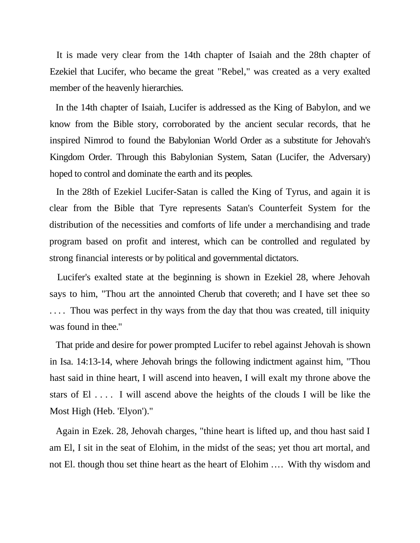It is made very clear from the 14th chapter of Isaiah and the 28th chapter of Ezekiel that Lucifer, who became the great "Rebel," was created as a very exalted member of the heavenly hierarchies.

In the 14th chapter of Isaiah, Lucifer is addressed as the King of Babylon, and we know from the Bible story, corroborated by the ancient secular records, that he inspired Nimrod to found the Babylonian World Order as a substitute for Jehovah's Kingdom Order. Through this Babylonian System, Satan (Lucifer, the Adversary) hoped to control and dominate the earth and its peoples.

In the 28th of Ezekiel Lucifer-Satan is called the King of Tyrus, and again it is clear from the Bible that Tyre represents Satan's Counterfeit System for the distribution of the necessities and comforts of life under a merchandising and trade program based on profit and interest, which can be controlled and regulated by strong financial interests or by political and governmental dictators.

Lucifer's exalted state at the beginning is shown in Ezekiel 28, where Jehovah says to him, "Thou art the annointed Cherub that covereth; and I have set thee so .... Thou was perfect in thy ways from the day that thou was created, till iniquity was found in thee."

That pride and desire for power prompted Lucifer to rebel against Jehovah is shown in Isa. 14:13-14, where Jehovah brings the following indictment against him, "Thou hast said in thine heart, I will ascend into heaven, I will exalt my throne above the stars of El . . . . I will ascend above the heights of the clouds I will be like the Most High (Heb. 'Elyon')."

Again in Ezek. 28, Jehovah charges, "thine heart is lifted up, and thou hast said I am El, I sit in the seat of Elohim, in the midst of the seas; yet thou art mortal, and not El. though thou set thine heart as the heart of Elohim .... With thy wisdom and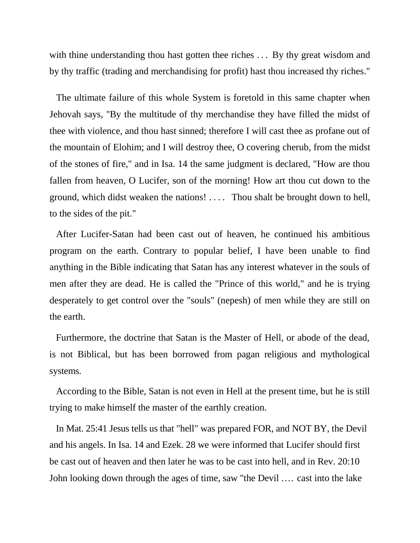with thine understanding thou hast gotten thee riches  $\dots$  By thy great wisdom and by thy traffic (trading and merchandising for profit) hast thou increased thy riches."

The ultimate failure of this whole System is foretold in this same chapter when Jehovah says, ''By the multitude of thy merchandise they have filled the midst of thee with violence, and thou hast sinned; therefore I will cast thee as profane out of the mountain of Elohim; and I will destroy thee, O covering cherub, from the midst of the stones of fire," and in Isa. 14 the same judgment is declared, "How are thou fallen from heaven, O Lucifer, son of the morning! How art thou cut down to the ground, which didst weaken the nations! .... Thou shalt be brought down to hell, to the sides of the pit."

After Lucifer-Satan had been cast out of heaven, he continued his ambitious program on the earth. Contrary to popular belief, I have been unable to find anything in the Bible indicating that Satan has any interest whatever in the souls of men after they are dead. He is called the "Prince of this world," and he is trying desperately to get control over the "souls" (nepesh) of men while they are still on the earth.

Furthermore, the doctrine that Satan is the Master of Hell, or abode of the dead, is not Biblical, but has been borrowed from pagan religious and mythological systems.

According to the Bible, Satan is not even in Hell at the present time, but he is still trying to make himself the master of the earthly creation.

In Mat. 25:41 Jesus tells us that "hell" was prepared FOR, and NOT BY, the Devil and his angels. In Isa. 14 and Ezek. 28 we were informed that Lucifer should first be cast out of heaven and then later he was to be cast into hell, and in Rev. 20:10 John looking down through the ages of time, saw "the Devil .... cast into the lake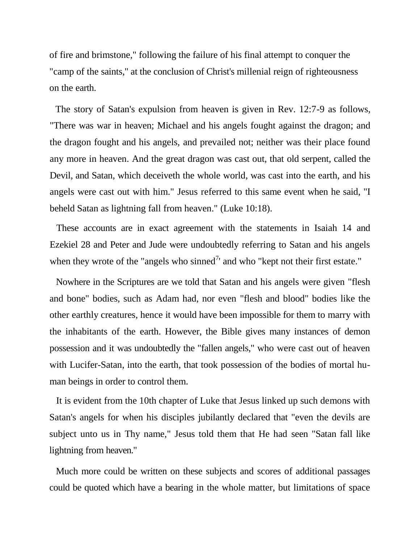of fire and brimstone," following the failure of his final attempt to conquer the "camp of the saints," at the conclusion of Christ's millenial reign of righteousness on the earth.

The story of Satan's expulsion from heaven is given in Rev. 12:7-9 as follows, "There was war in heaven; Michael and his angels fought against the dragon; and the dragon fought and his angels, and prevailed not; neither was their place found any more in heaven. And the great dragon was cast out, that old serpent, called the Devil, and Satan, which deceiveth the whole world, was cast into the earth, and his angels were cast out with him." Jesus referred to this same event when he said, "I beheld Satan as lightning fall from heaven." (Luke 10:18).

These accounts are in exact agreement with the statements in Isaiah 14 and Ezekiel 28 and Peter and Jude were undoubtedly referring to Satan and his angels when they wrote of the "angels who sinned" and who "kept not their first estate."

Nowhere in the Scriptures are we told that Satan and his angels were given "flesh and bone" bodies, such as Adam had, nor even "flesh and blood" bodies like the other earthly creatures, hence it would have been impossible for them to marry with the inhabitants of the earth. However, the Bible gives many instances of demon possession and it was undoubtedly the "fallen angels," who were cast out of heaven with Lucifer-Satan, into the earth, that took possession of the bodies of mortal human beings in order to control them.

It is evident from the 10th chapter of Luke that Jesus linked up such demons with Satan's angels for when his disciples jubilantly declared that "even the devils are subject unto us in Thy name," Jesus told them that He had seen "Satan fall like lightning from heaven."

Much more could be written on these subjects and scores of additional passages could be quoted which have a bearing in the whole matter, but limitations of space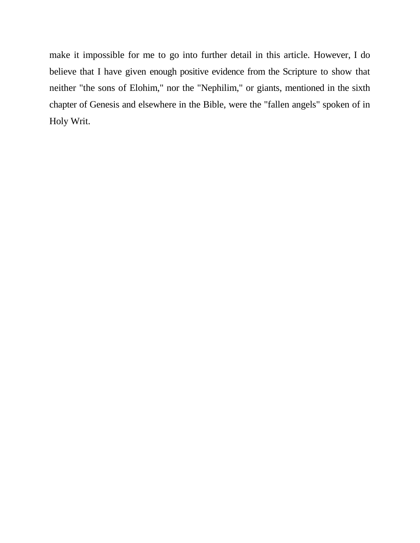make it impossible for me to go into further detail in this article. However, I do believe that I have given enough positive evidence from the Scripture to show that neither "the sons of Elohim," nor the "Nephilim," or giants, mentioned in the sixth chapter of Genesis and elsewhere in the Bible, were the "fallen angels" spoken of in Holy Writ.